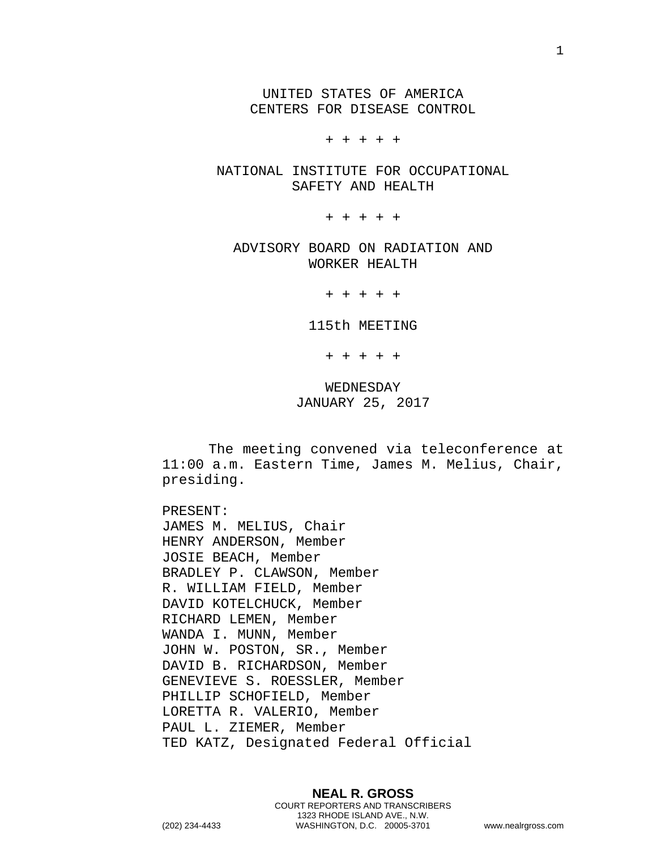UNITED STATES OF AMERICA CENTERS FOR DISEASE CONTROL

+ + + + +

NATIONAL INSTITUTE FOR OCCUPATIONAL SAFETY AND HEALTH

+ + + + +

ADVISORY BOARD ON RADIATION AND WORKER HEALTH

+ + + + +

115th MEETING

+ + + + +

WEDNESDAY JANUARY 25, 2017

The meeting convened via teleconference at 11:00 a.m. Eastern Time, James M. Melius, Chair, presiding.

PRESENT: JAMES M. MELIUS, Chair HENRY ANDERSON, Member JOSIE BEACH, Member BRADLEY P. CLAWSON, Member R. WILLIAM FIELD, Member DAVID KOTELCHUCK, Member RICHARD LEMEN, Member WANDA I. MUNN, Member JOHN W. POSTON, SR., Member DAVID B. RICHARDSON, Member GENEVIEVE S. ROESSLER, Member PHILLIP SCHOFIELD, Member LORETTA R. VALERIO, Member PAUL L. ZIEMER, Member TED KATZ, Designated Federal Official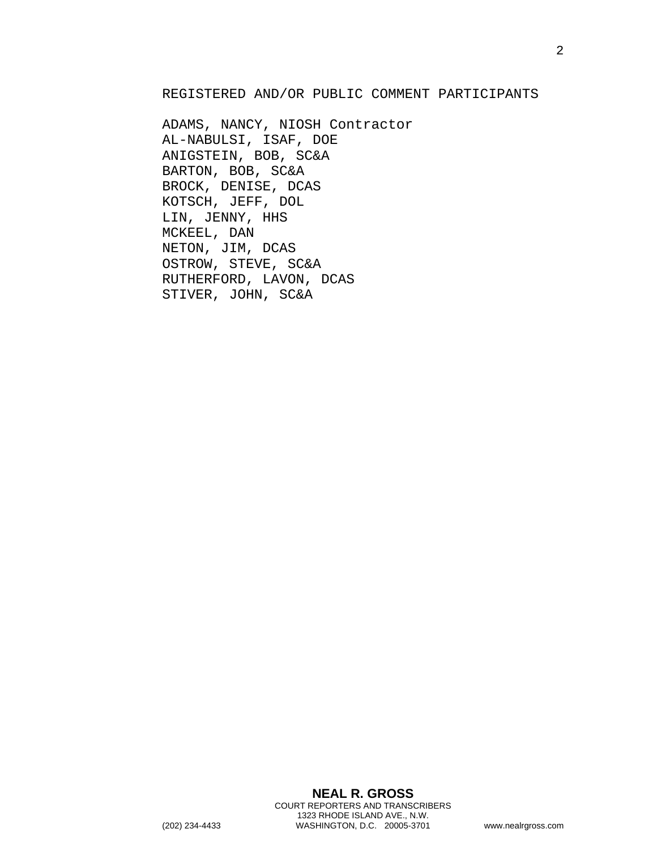## REGISTERED AND/OR PUBLIC COMMENT PARTICIPANTS

ADAMS, NANCY, NIOSH Contractor AL-NABULSI, ISAF, DOE ANIGSTEIN, BOB, SC&A BARTON, BOB, SC&A BROCK, DENISE, DCAS KOTSCH, JEFF, DOL LIN, JENNY, HHS MCKEEL, DAN NETON, JIM, DCAS OSTROW, STEVE, SC&A RUTHERFORD, LAVON, DCAS STIVER, JOHN, SC&A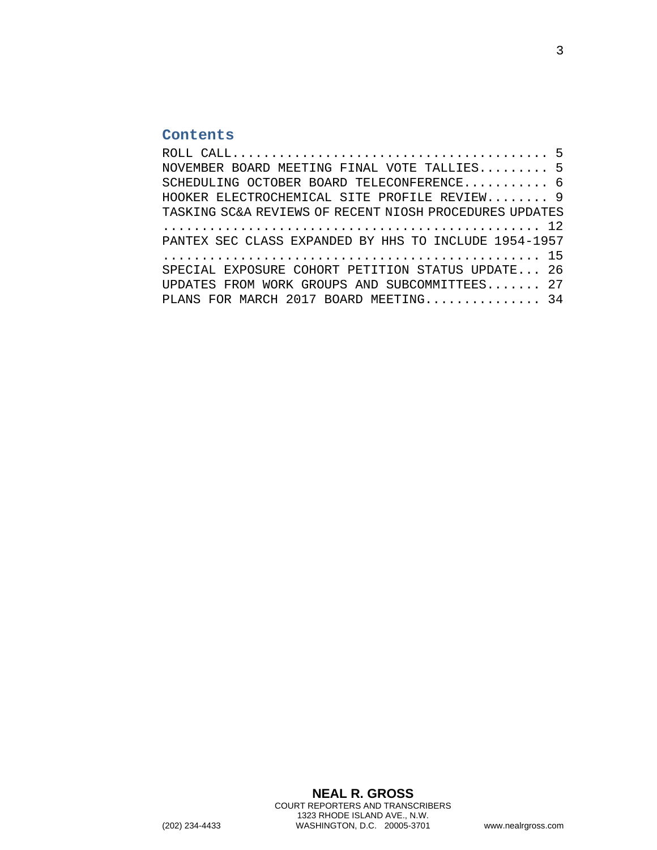## **Contents**

| NOVEMBER BOARD MEETING FINAL VOTE TALLIES 5             |  |
|---------------------------------------------------------|--|
| SCHEDULING OCTOBER BOARD TELECONFERENCE 6               |  |
| HOOKER ELECTROCHEMICAL SITE PROFILE REVIEW 9            |  |
| TASKING SC&A REVIEWS OF RECENT NIOSH PROCEDURES UPDATES |  |
|                                                         |  |
| PANTEX SEC CLASS EXPANDED BY HHS TO INCLUDE 1954-1957   |  |
|                                                         |  |
| SPECIAL EXPOSURE COHORT PETITION STATUS UPDATE 26       |  |
| UPDATES FROM WORK GROUPS AND SUBCOMMITTEES 27           |  |
| PLANS FOR MARCH 2017 BOARD MEETING 34                   |  |
|                                                         |  |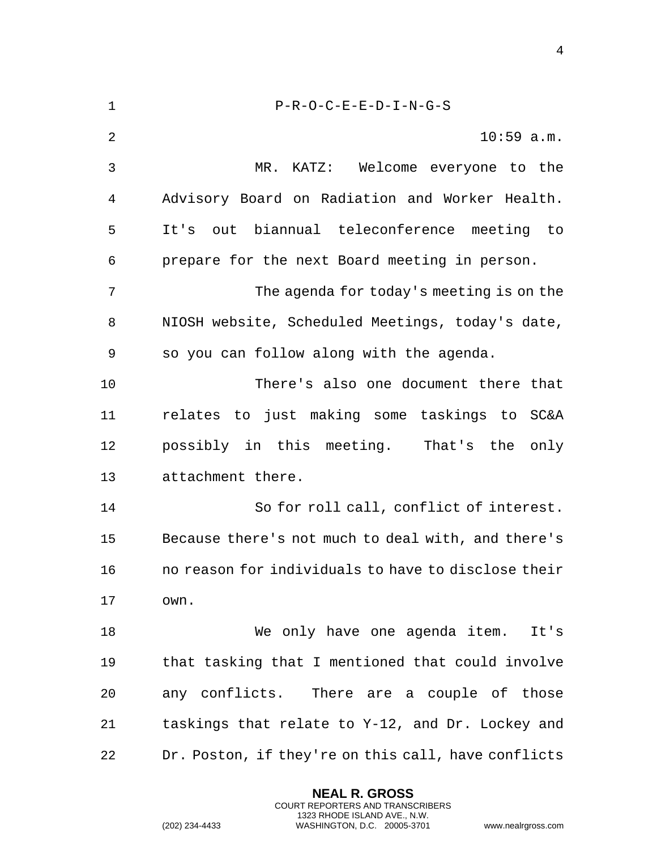1 P-R-O-C-E-E-D-I-N-G-S 2 10:59 a.m. 3 MR. KATZ: Welcome everyone to the 4 Advisory Board on Radiation and Worker Health. 5 It's out biannual teleconference meeting to 6 prepare for the next Board meeting in person. 7 The agenda for today's meeting is on the 8 NIOSH website, Scheduled Meetings, today's date, 9 so you can follow along with the agenda. 10 There's also one document there that 11 relates to just making some taskings to SC&A 12 possibly in this meeting. That's the only 13 attachment there. 14 So for roll call, conflict of interest. 15 Because there's not much to deal with, and there's 16 no reason for individuals to have to disclose their 17 own. 18 We only have one agenda item. It's 19 that tasking that I mentioned that could involve 20 any conflicts. There are a couple of those 21 taskings that relate to Y-12, and Dr. Lockey and 22 Dr. Poston, if they're on this call, have conflicts

> **NEAL R. GROSS** COURT REPORTERS AND TRANSCRIBERS 1323 RHODE ISLAND AVE., N.W.

(202) 234-4433 WASHINGTON, D.C. 20005-3701 www.nealrgross.com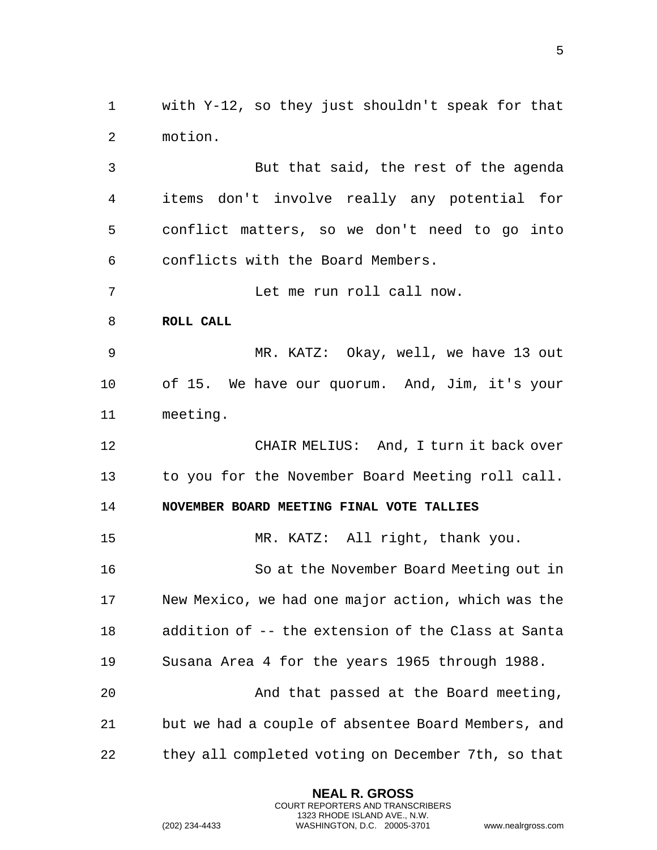1 with Y-12, so they just shouldn't speak for that 2 motion.

3 But that said, the rest of the agenda 4 items don't involve really any potential for 5 conflict matters, so we don't need to go into 6 conflicts with the Board Members.

7 Let me run roll call now.

<span id="page-4-0"></span>8 **ROLL CALL** 

9 MR. KATZ: Okay, well, we have 13 out 10 of 15. We have our quorum. And, Jim, it's your 11 meeting.

12 CHAIR MELIUS: And, I turn it back over 13 to you for the November Board Meeting roll call.

<span id="page-4-1"></span>14 **NOVEMBER BOARD MEETING FINAL VOTE TALLIES** 

15 MR. KATZ: All right, thank you.

16 So at the November Board Meeting out in 17 New Mexico, we had one major action, which was the 18 addition of -- the extension of the Class at Santa 19 Susana Area 4 for the years 1965 through 1988.

20 And that passed at the Board meeting, 21 but we had a couple of absentee Board Members, and 22 they all completed voting on December 7th, so that

> **NEAL R. GROSS** COURT REPORTERS AND TRANSCRIBERS 1323 RHODE ISLAND AVE., N.W.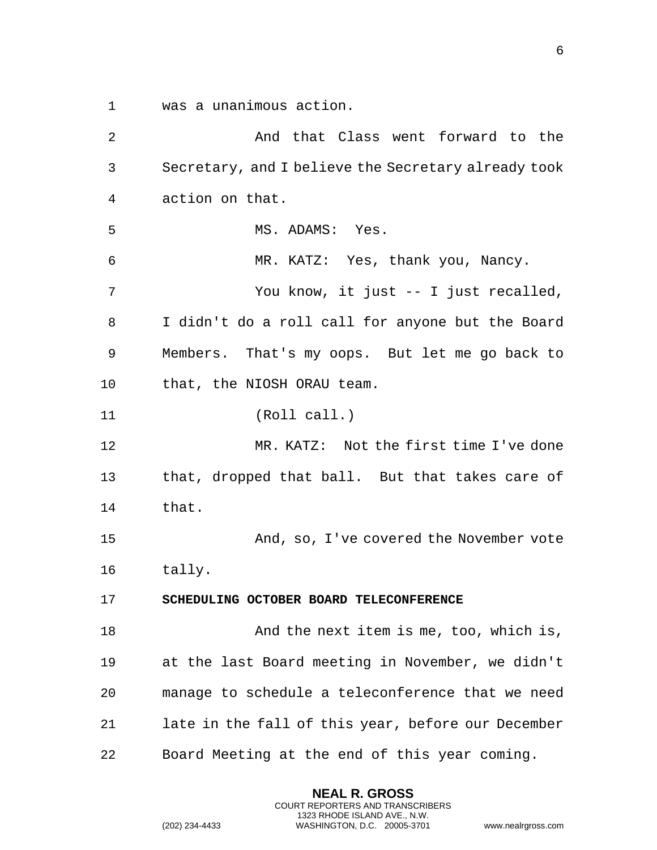1 was a unanimous action.

2 And that Class went forward to the 3 Secretary, and I believe the Secretary already took 4 action on that. 5 MS. ADAMS: Yes. 6 MR. KATZ: Yes, thank you, Nancy. 7 You know, it just -- I just recalled, 8 I didn't do a roll call for anyone but the Board 9 Members. That's my oops. But let me go back to 10 that, the NIOSH ORAU team. 11 (Roll call.) 12 MR. KATZ: Not the first time I've done 13 that, dropped that ball. But that takes care of 14 that. 15 And, so, I've covered the November vote 16 tally. 17 **SCHEDULING OCTOBER BOARD TELECONFERENCE**  18 And the next item is me, too, which is, 19 at the last Board meeting in November, we didn't 20 manage to schedule a teleconference that we need 21 late in the fall of this year, before our December 22 Board Meeting at the end of this year coming.

> <span id="page-5-0"></span>**NEAL R. GROSS** COURT REPORTERS AND TRANSCRIBERS 1323 RHODE ISLAND AVE., N.W.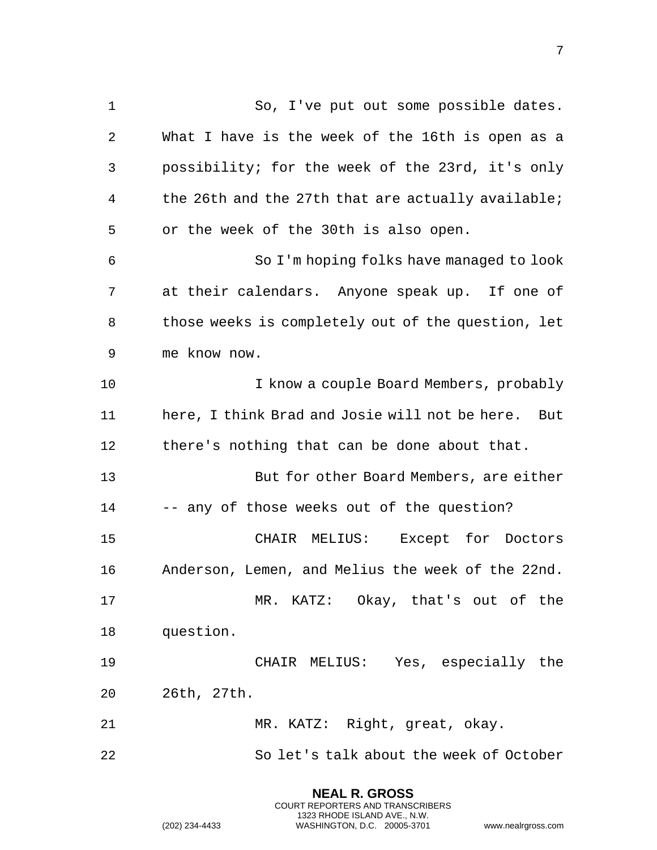1 So, I've put out some possible dates. 2 What I have is the week of the 16th is open as a 3 possibility; for the week of the 23rd, it's only 4 the 26th and the 27th that are actually available; 5 or the week of the 30th is also open. 6 So I'm hoping folks have managed to look 7 at their calendars. Anyone speak up. If one of 8 those weeks is completely out of the question, let 9 me know now. 10 I know a couple Board Members, probably 11 here, I think Brad and Josie will not be here. But 12 there's nothing that can be done about that. 13 But for other Board Members, are either 14 -- any of those weeks out of the question? 15 CHAIR MELIUS: Except for Doctors 16 Anderson, Lemen, and Melius the week of the 22nd. 17 MR. KATZ: Okay, that's out of the 18 question. 19 CHAIR MELIUS: Yes, especially the 20 26th, 27th. 21 MR. KATZ: Right, great, okay. 22 So let's talk about the week of October

> **NEAL R. GROSS** COURT REPORTERS AND TRANSCRIBERS 1323 RHODE ISLAND AVE., N.W.

(202) 234-4433 WASHINGTON, D.C. 20005-3701 www.nealrgross.com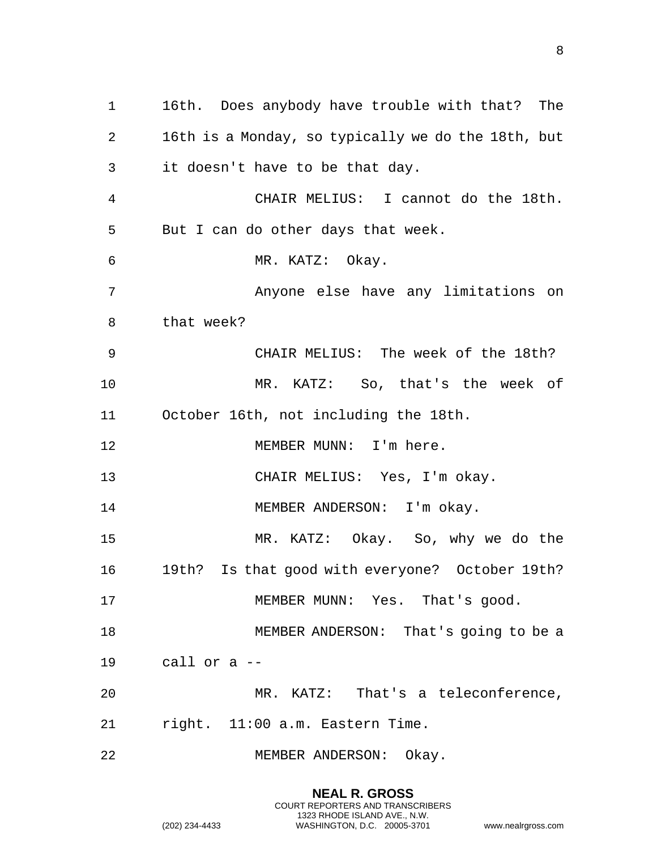16th. Does anybody have trouble with that? The 16th is a Monday, so typically we do the 18th, but it doesn't have to be that day. CHAIR MELIUS: I cannot do the 18th. But I can do other days that week. MR. KATZ: Okay. Anyone else have any limitations on that week? CHAIR MELIUS: The week of the 18th? MR. KATZ: So, that's the week of October 16th, not including the 18th. 12 MEMBER MUNN: I'm here. CHAIR MELIUS: Yes, I'm okay. 14 MEMBER ANDERSON: I'm okay. MR. KATZ: Okay. So, why we do the 19th? Is that good with everyone? October 19th? 17 MEMBER MUNN: Yes. That's good. MEMBER ANDERSON: That's going to be a call or a -- MR. KATZ: That's a teleconference, right. 11:00 a.m. Eastern Time. MEMBER ANDERSON: Okay.

> **NEAL R. GROSS** COURT REPORTERS AND TRANSCRIBERS 1323 RHODE ISLAND AVE., N.W.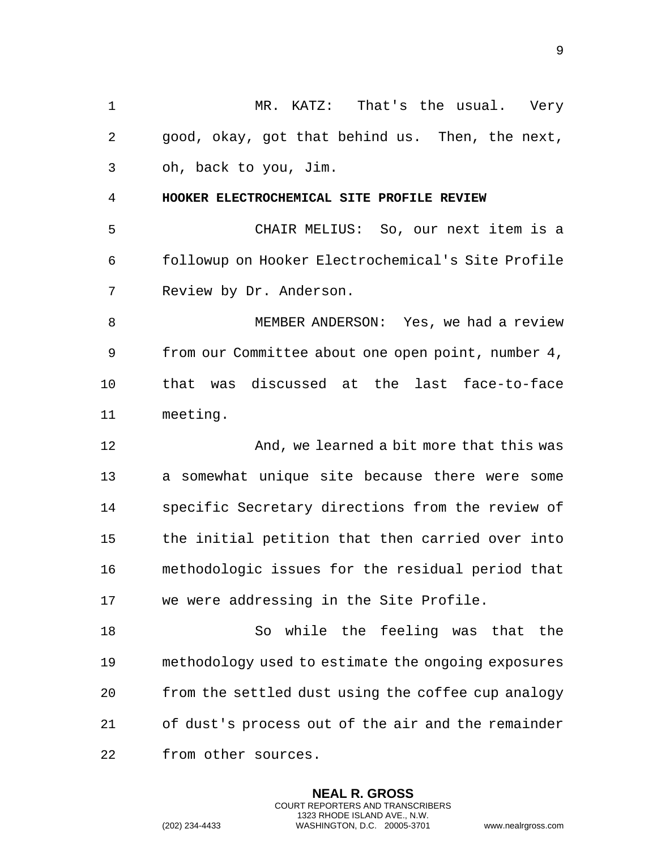<span id="page-8-0"></span> MR. KATZ: That's the usual. Very good, okay, got that behind us. Then, the next, oh, back to you, Jim. **HOOKER ELECTROCHEMICAL SITE PROFILE REVIEW** CHAIR MELIUS: So, our next item is a followup on Hooker Electrochemical's Site Profile Review by Dr. Anderson. 8 MEMBER ANDERSON: Yes, we had a review from our Committee about one open point, number 4, that was discussed at the last face-to-face meeting. **And, we learned a bit more that this was**  a somewhat unique site because there were some specific Secretary directions from the review of the initial petition that then carried over into methodologic issues for the residual period that we were addressing in the Site Profile. So while the feeling was that the methodology used to estimate the ongoing exposures from the settled dust using the coffee cup analogy of dust's process out of the air and the remainder from other sources.

> **NEAL R. GROSS** COURT REPORTERS AND TRANSCRIBERS 1323 RHODE ISLAND AVE., N.W.

(202) 234-4433 WASHINGTON, D.C. 20005-3701 www.nealrgross.com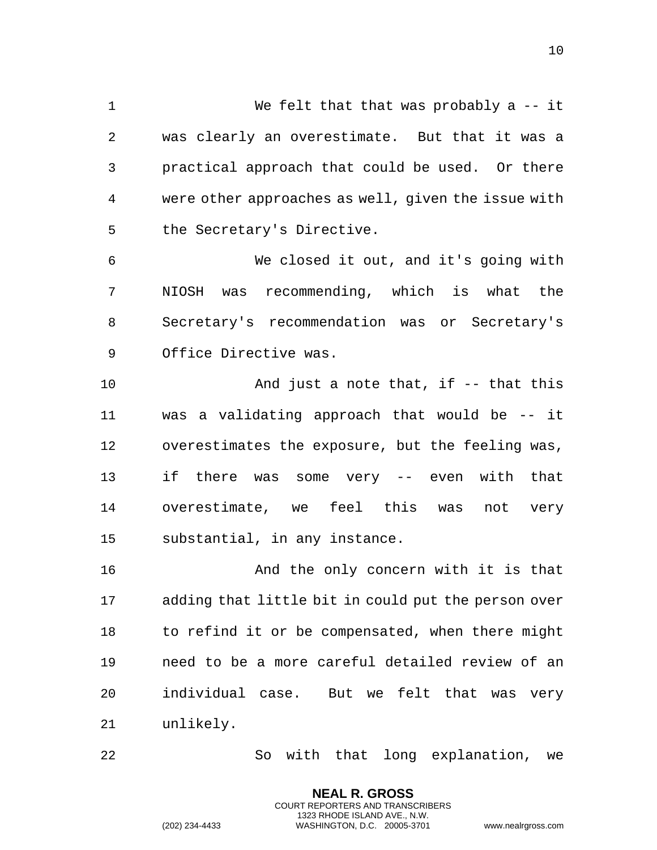We felt that that was probably a -- it was clearly an overestimate. But that it was a practical approach that could be used. Or there were other approaches as well, given the issue with the Secretary's Directive.

 We closed it out, and it's going with NIOSH was recommending, which is what the Secretary's recommendation was or Secretary's Office Directive was.

 And just a note that, if -- that this was a validating approach that would be -- it overestimates the exposure, but the feeling was, if there was some very -- even with that overestimate, we feel this was not very substantial, in any instance.

 And the only concern with it is that adding that little bit in could put the person over to refind it or be compensated, when there might need to be a more careful detailed review of an individual case. But we felt that was very unlikely.

So with that long explanation, we

**NEAL R. GROSS** COURT REPORTERS AND TRANSCRIBERS 1323 RHODE ISLAND AVE., N.W.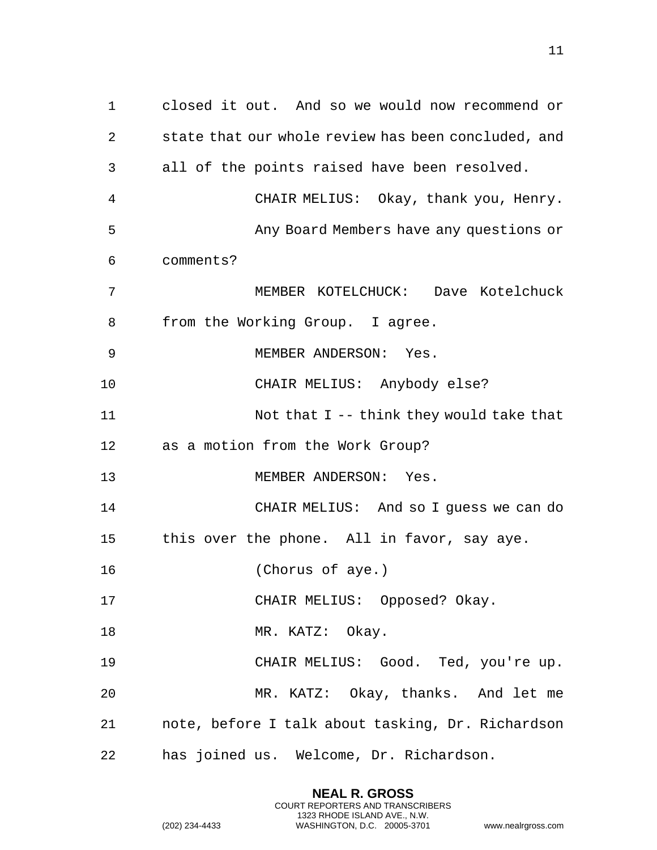closed it out. And so we would now recommend or state that our whole review has been concluded, and all of the points raised have been resolved. CHAIR MELIUS: Okay, thank you, Henry. Any Board Members have any questions or comments? MEMBER KOTELCHUCK: Dave Kotelchuck from the Working Group. I agree. MEMBER ANDERSON: Yes. CHAIR MELIUS: Anybody else? Not that I -- think they would take that as a motion from the Work Group? 13 MEMBER ANDERSON: Yes. CHAIR MELIUS: And so I guess we can do this over the phone. All in favor, say aye. (Chorus of aye.) CHAIR MELIUS: Opposed? Okay. 18 MR. KATZ: Okay. CHAIR MELIUS: Good. Ted, you're up. MR. KATZ: Okay, thanks. And let me note, before I talk about tasking, Dr. Richardson has joined us. Welcome, Dr. Richardson.

> **NEAL R. GROSS** COURT REPORTERS AND TRANSCRIBERS 1323 RHODE ISLAND AVE., N.W.

(202) 234-4433 WASHINGTON, D.C. 20005-3701 www.nealrgross.com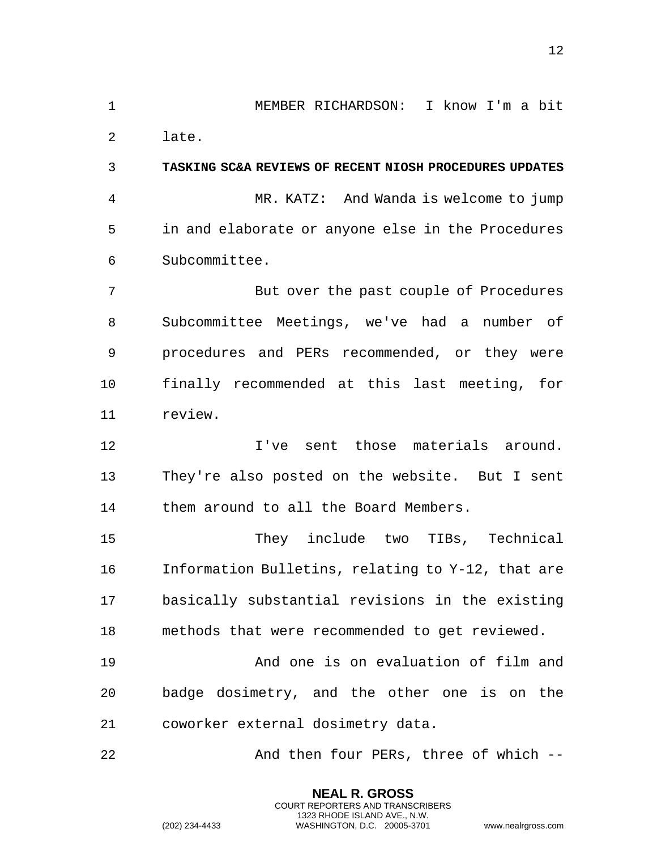MEMBER RICHARDSON: I know I'm a bit

<span id="page-11-0"></span>late.

 **TASKING SC&A REVIEWS OF RECENT NIOSH PROCEDURES UPDATES** MR. KATZ: And Wanda is welcome to jump in and elaborate or anyone else in the Procedures Subcommittee.

 But over the past couple of Procedures Subcommittee Meetings, we've had a number of procedures and PERs recommended, or they were finally recommended at this last meeting, for review.

 I've sent those materials around. They're also posted on the website. But I sent them around to all the Board Members.

 They include two TIBs, Technical Information Bulletins, relating to Y-12, that are basically substantial revisions in the existing methods that were recommended to get reviewed.

 And one is on evaluation of film and badge dosimetry, and the other one is on the coworker external dosimetry data.

And then four PERs, three of which --

**NEAL R. GROSS** COURT REPORTERS AND TRANSCRIBERS 1323 RHODE ISLAND AVE., N.W.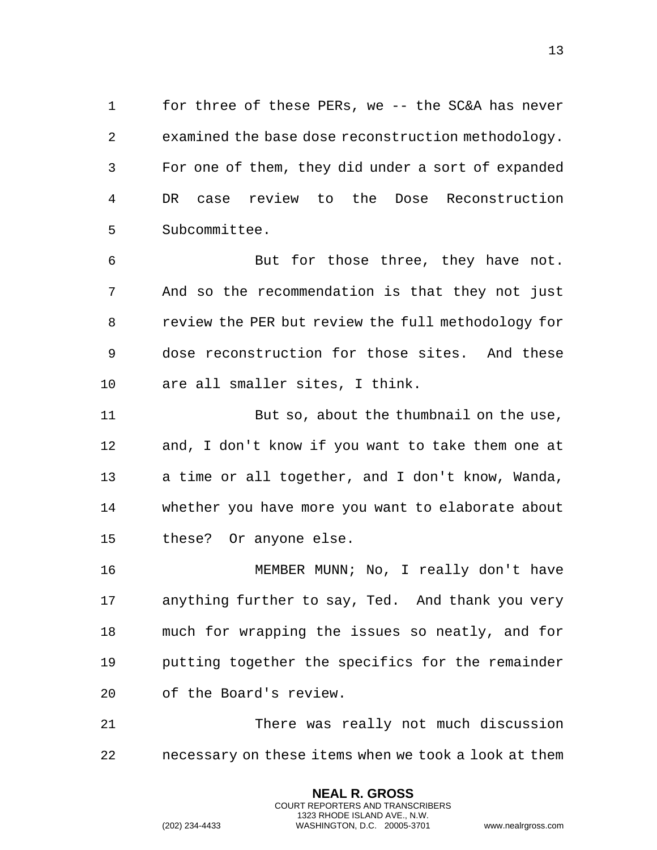for three of these PERs, we -- the SC&A has never examined the base dose reconstruction methodology. For one of them, they did under a sort of expanded DR case review to the Dose Reconstruction Subcommittee.

 But for those three, they have not. And so the recommendation is that they not just review the PER but review the full methodology for dose reconstruction for those sites. And these are all smaller sites, I think.

 But so, about the thumbnail on the use, and, I don't know if you want to take them one at a time or all together, and I don't know, Wanda, whether you have more you want to elaborate about these? Or anyone else.

 MEMBER MUNN; No, I really don't have anything further to say, Ted. And thank you very much for wrapping the issues so neatly, and for putting together the specifics for the remainder of the Board's review.

 There was really not much discussion necessary on these items when we took a look at them

> **NEAL R. GROSS** COURT REPORTERS AND TRANSCRIBERS 1323 RHODE ISLAND AVE., N.W.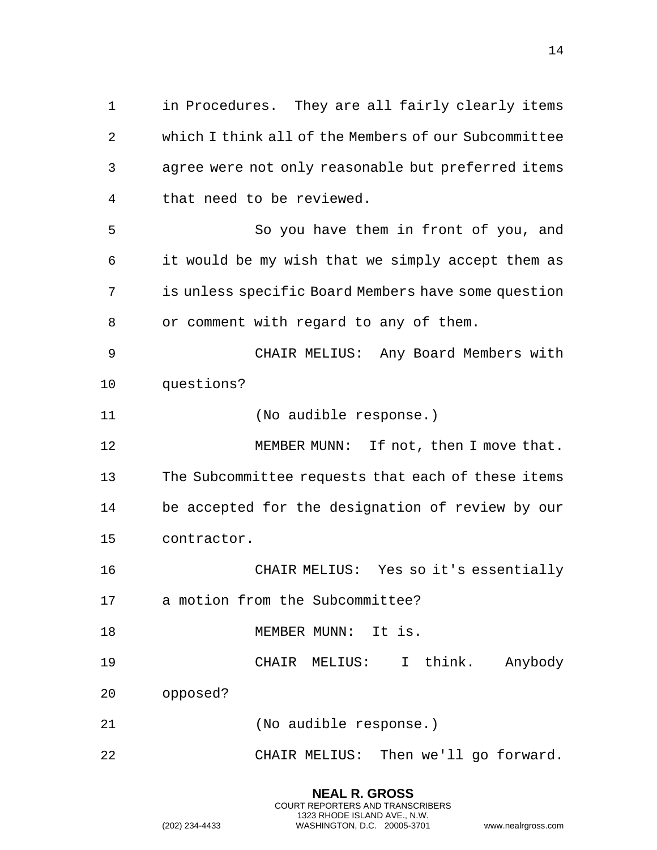in Procedures. They are all fairly clearly items which I think all of the Members of our Subcommittee agree were not only reasonable but preferred items that need to be reviewed. So you have them in front of you, and it would be my wish that we simply accept them as is unless specific Board Members have some question or comment with regard to any of them. CHAIR MELIUS: Any Board Members with questions? (No audible response.) 12 MEMBER MUNN: If not, then I move that. The Subcommittee requests that each of these items be accepted for the designation of review by our contractor. CHAIR MELIUS: Yes so it's essentially a motion from the Subcommittee? 18 MEMBER MUNN: It is.

- CHAIR MELIUS: I think. Anybody
- opposed?
- (No audible response.)
- CHAIR MELIUS: Then we'll go forward.

**NEAL R. GROSS** COURT REPORTERS AND TRANSCRIBERS 1323 RHODE ISLAND AVE., N.W.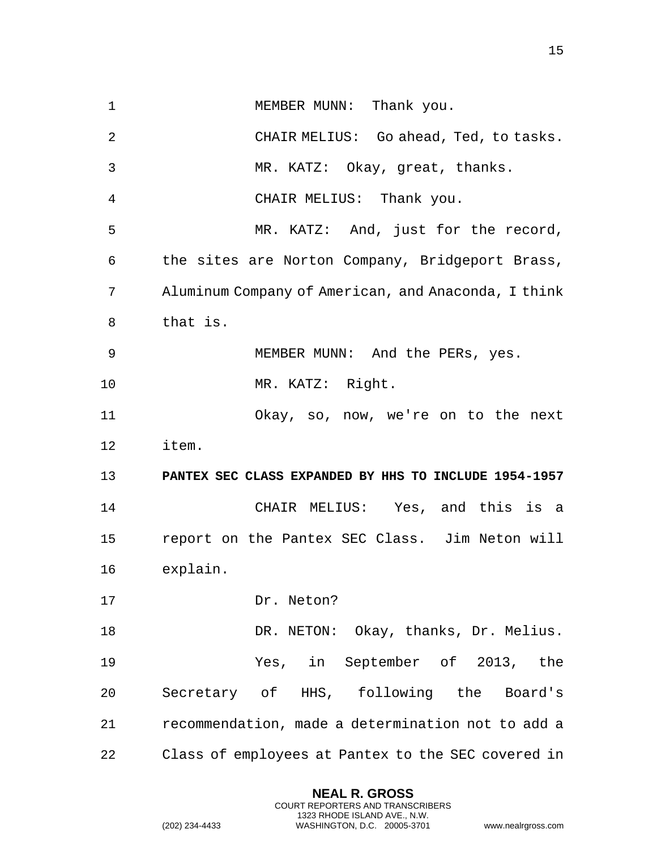1 MEMBER MUNN: Thank you. CHAIR MELIUS: Go ahead, Ted, to tasks. MR. KATZ: Okay, great, thanks. CHAIR MELIUS: Thank you. MR. KATZ: And, just for the record, the sites are Norton Company, Bridgeport Brass, Aluminum Company of American, and Anaconda, I think that is. MEMBER MUNN: And the PERs, yes. MR. KATZ: Right. Okay, so, now, we're on to the next item. **PANTEX SEC CLASS EXPANDED BY HHS TO INCLUDE 1954-1957** CHAIR MELIUS: Yes, and this is a report on the Pantex SEC Class. Jim Neton will explain. Dr. Neton? DR. NETON: Okay, thanks, Dr. Melius. Yes, in September of 2013, the Secretary of HHS, following the Board's recommendation, made a determination not to add a Class of employees at Pantex to the SEC covered in

> <span id="page-14-0"></span>**NEAL R. GROSS** COURT REPORTERS AND TRANSCRIBERS 1323 RHODE ISLAND AVE., N.W.

(202) 234-4433 WASHINGTON, D.C. 20005-3701 www.nealrgross.com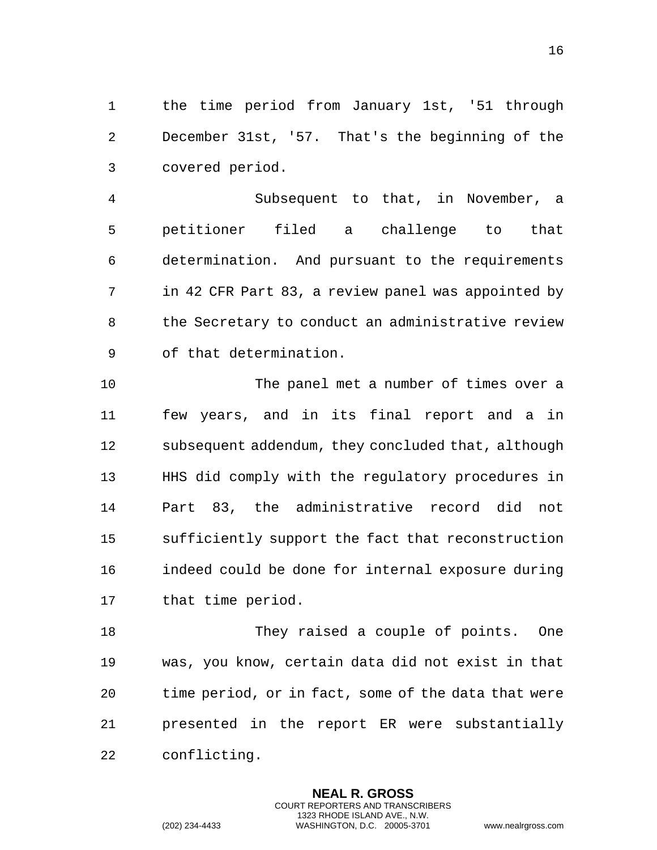the time period from January 1st, '51 through December 31st, '57. That's the beginning of the covered period.

 Subsequent to that, in November, a petitioner filed a challenge to that determination. And pursuant to the requirements in 42 CFR Part 83, a review panel was appointed by the Secretary to conduct an administrative review of that determination.

 The panel met a number of times over a few years, and in its final report and a in subsequent addendum, they concluded that, although HHS did comply with the regulatory procedures in Part 83, the administrative record did not sufficiently support the fact that reconstruction indeed could be done for internal exposure during that time period.

18 They raised a couple of points. One was, you know, certain data did not exist in that time period, or in fact, some of the data that were presented in the report ER were substantially conflicting.

> **NEAL R. GROSS** COURT REPORTERS AND TRANSCRIBERS 1323 RHODE ISLAND AVE., N.W.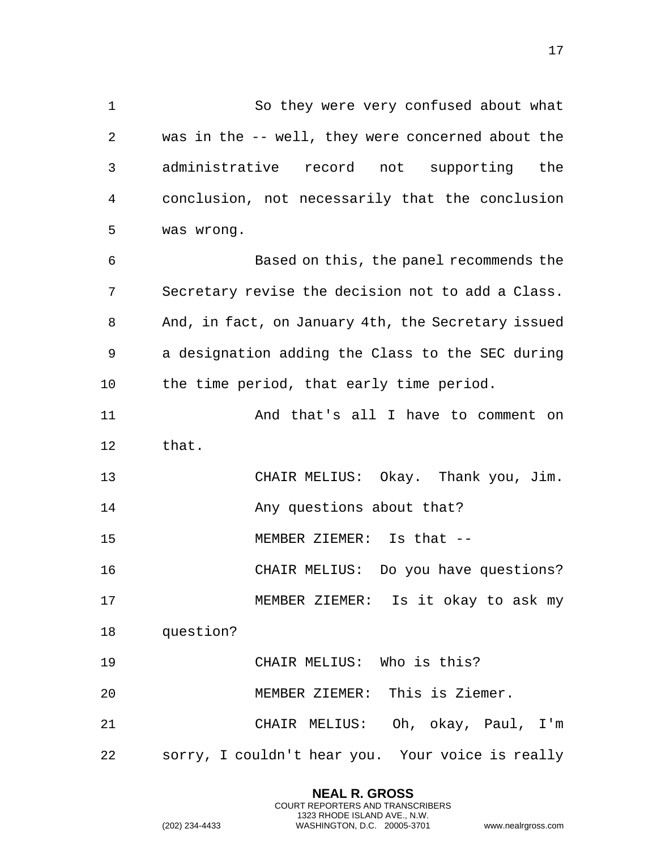1 So they were very confused about what 2 was in the -- well, they were concerned about the 3 administrative record not supporting the 4 conclusion, not necessarily that the conclusion 5 was wrong. 6 Based on this, the panel recommends the 7 Secretary revise the decision not to add a Class. 8 And, in fact, on January 4th, the Secretary issued 9 a designation adding the Class to the SEC during 10 the time period, that early time period. 11 And that's all I have to comment on 12 that. 13 CHAIR MELIUS: Okay. Thank you, Jim. 14 Any questions about that? 15 MEMBER ZIEMER: Is that -- 16 CHAIR MELIUS: Do you have questions? 17 MEMBER ZIEMER: Is it okay to ask my 18 question? 19 CHAIR MELIUS: Who is this?

20 MEMBER ZIEMER: This is Ziemer.

21 CHAIR MELIUS: Oh, okay, Paul, I'm 22 sorry, I couldn't hear you. Your voice is really

> **NEAL R. GROSS** COURT REPORTERS AND TRANSCRIBERS 1323 RHODE ISLAND AVE., N.W.

(202) 234-4433 WASHINGTON, D.C. 20005-3701 www.nealrgross.com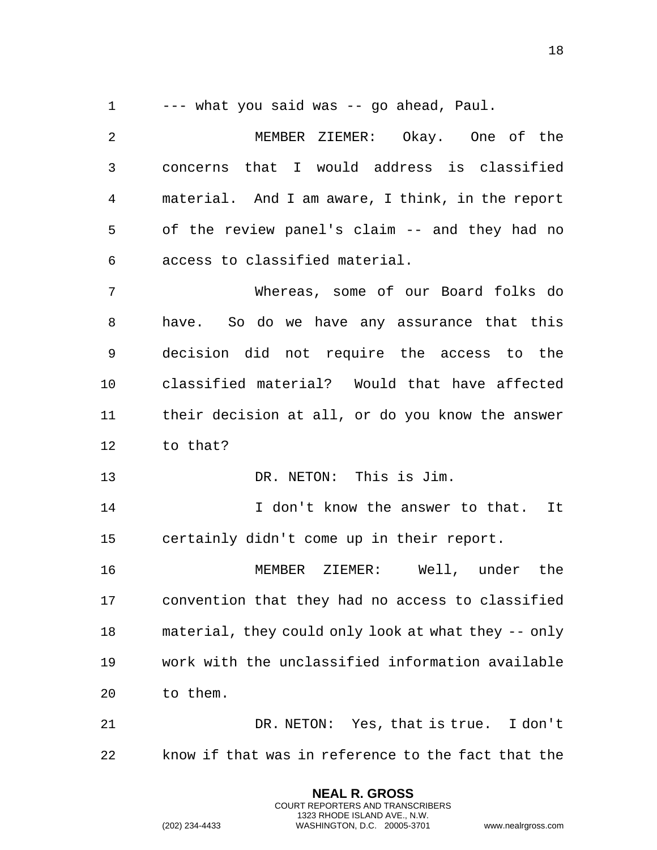--- what you said was -- go ahead, Paul.

 MEMBER ZIEMER: Okay. One of the concerns that I would address is classified material. And I am aware, I think, in the report of the review panel's claim -- and they had no access to classified material.

 Whereas, some of our Board folks do have. So do we have any assurance that this decision did not require the access to the classified material? Would that have affected their decision at all, or do you know the answer to that?

13 DR. NETON: This is Jim.

14 14 I don't know the answer to that. It certainly didn't come up in their report.

 MEMBER ZIEMER: Well, under the convention that they had no access to classified material, they could only look at what they -- only work with the unclassified information available to them.

 DR. NETON: Yes, that is true. I don't know if that was in reference to the fact that the

> **NEAL R. GROSS** COURT REPORTERS AND TRANSCRIBERS 1323 RHODE ISLAND AVE., N.W.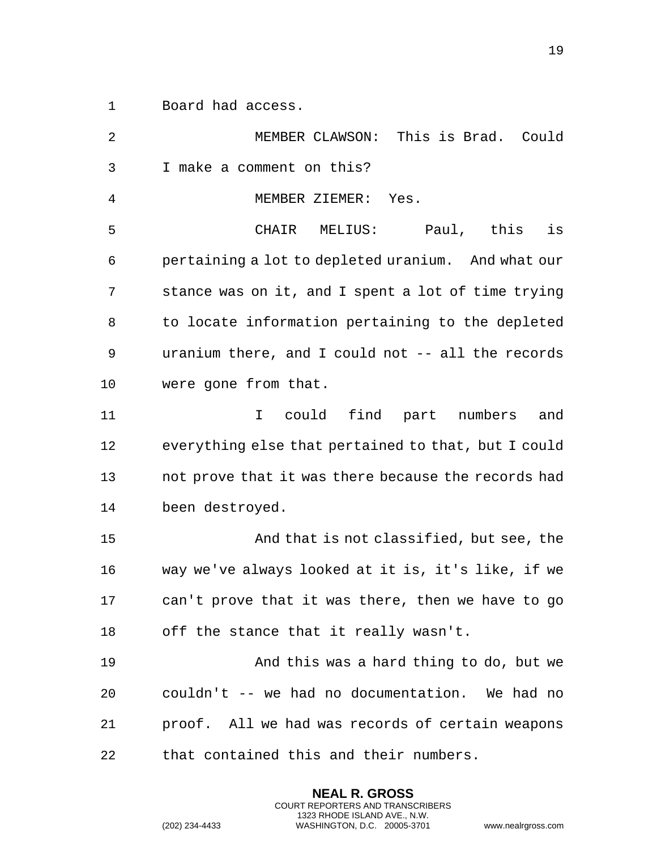Board had access.

 MEMBER CLAWSON: This is Brad. Could I make a comment on this? MEMBER ZIEMER: Yes. CHAIR MELIUS: Paul, this is pertaining a lot to depleted uranium. And what our stance was on it, and I spent a lot of time trying to locate information pertaining to the depleted uranium there, and I could not -- all the records were gone from that. I could find part numbers and everything else that pertained to that, but I could not prove that it was there because the records had been destroyed. And that is not classified, but see, the way we've always looked at it is, it's like, if we can't prove that it was there, then we have to go off the stance that it really wasn't. And this was a hard thing to do, but we couldn't -- we had no documentation. We had no proof. All we had was records of certain weapons that contained this and their numbers.

> **NEAL R. GROSS** COURT REPORTERS AND TRANSCRIBERS 1323 RHODE ISLAND AVE., N.W.

(202) 234-4433 WASHINGTON, D.C. 20005-3701 www.nealrgross.com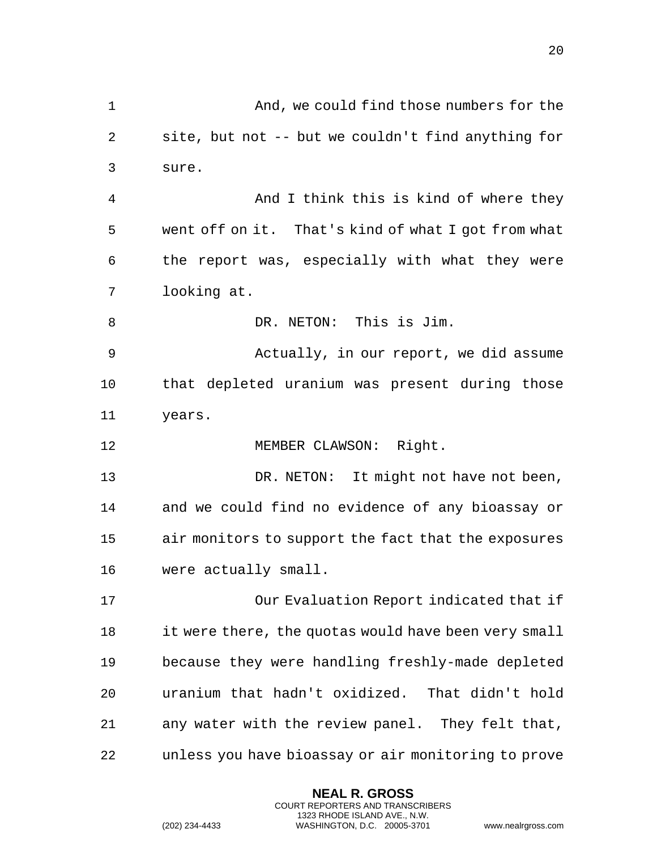And, we could find those numbers for the site, but not -- but we couldn't find anything for sure. And I think this is kind of where they went off on it. That's kind of what I got from what the report was, especially with what they were looking at. 8 DR. NETON: This is Jim. Actually, in our report, we did assume that depleted uranium was present during those years. MEMBER CLAWSON: Right. 13 DR. NETON: It might not have not been, and we could find no evidence of any bioassay or air monitors to support the fact that the exposures were actually small. Our Evaluation Report indicated that if it were there, the quotas would have been very small because they were handling freshly-made depleted uranium that hadn't oxidized. That didn't hold any water with the review panel. They felt that, unless you have bioassay or air monitoring to prove

> **NEAL R. GROSS** COURT REPORTERS AND TRANSCRIBERS 1323 RHODE ISLAND AVE., N.W.

(202) 234-4433 WASHINGTON, D.C. 20005-3701 www.nealrgross.com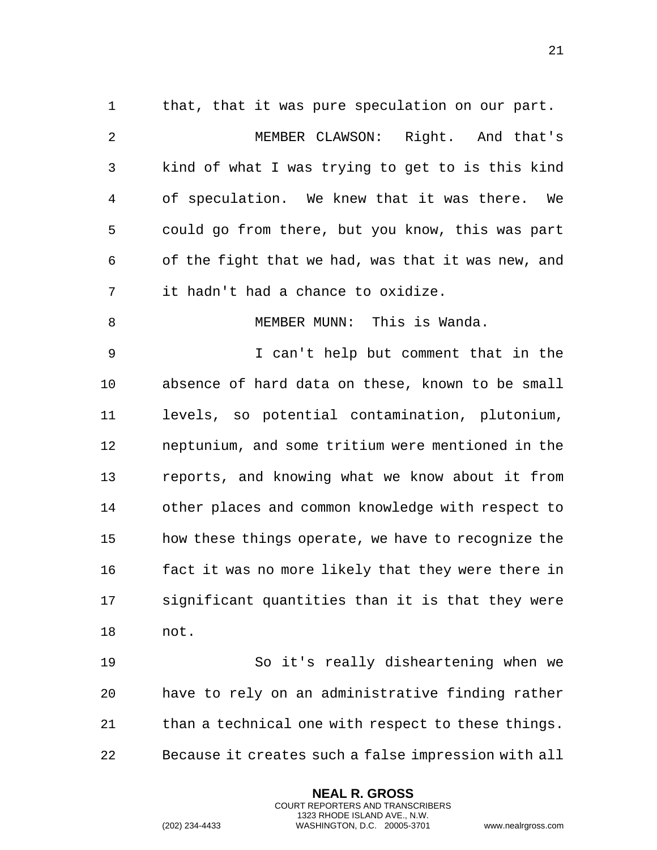1 that, that it was pure speculation on our part. MEMBER CLAWSON: Right. And that's kind of what I was trying to get to is this kind of speculation. We knew that it was there. We could go from there, but you know, this was part of the fight that we had, was that it was new, and it hadn't had a chance to oxidize. MEMBER MUNN: This is Wanda. I can't help but comment that in the absence of hard data on these, known to be small levels, so potential contamination, plutonium, neptunium, and some tritium were mentioned in the reports, and knowing what we know about it from other places and common knowledge with respect to how these things operate, we have to recognize the fact it was no more likely that they were there in significant quantities than it is that they were not.

 So it's really disheartening when we have to rely on an administrative finding rather 21 than a technical one with respect to these things. Because it creates such a false impression with all

> **NEAL R. GROSS** COURT REPORTERS AND TRANSCRIBERS 1323 RHODE ISLAND AVE., N.W.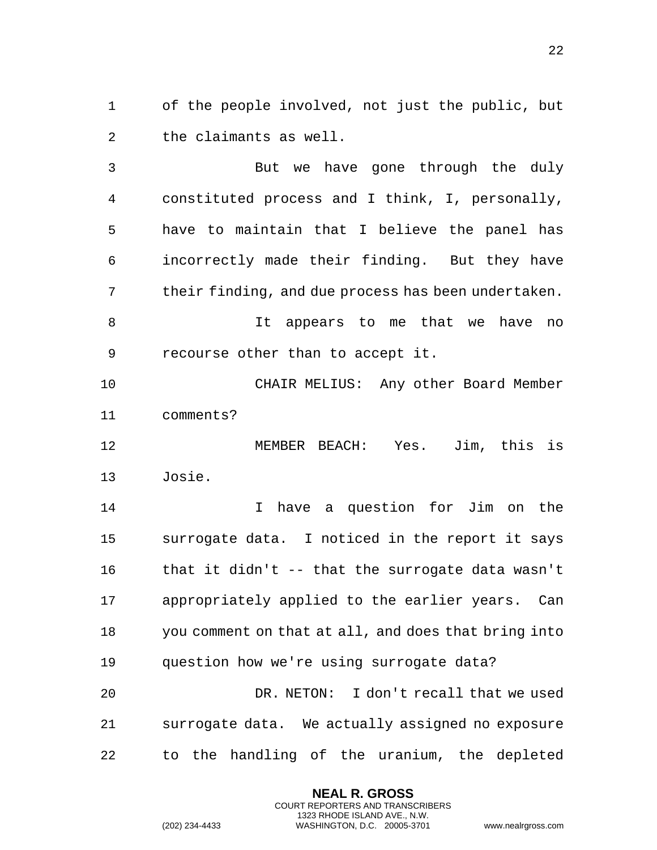of the people involved, not just the public, but the claimants as well.

 But we have gone through the duly constituted process and I think, I, personally, have to maintain that I believe the panel has incorrectly made their finding. But they have their finding, and due process has been undertaken.

 It appears to me that we have no recourse other than to accept it.

 CHAIR MELIUS: Any other Board Member comments?

 MEMBER BEACH: Yes. Jim, this is Josie.

 I have a question for Jim on the surrogate data. I noticed in the report it says that it didn't -- that the surrogate data wasn't appropriately applied to the earlier years. Can you comment on that at all, and does that bring into question how we're using surrogate data?

 DR. NETON: I don't recall that we used surrogate data. We actually assigned no exposure to the handling of the uranium, the depleted

> **NEAL R. GROSS** COURT REPORTERS AND TRANSCRIBERS 1323 RHODE ISLAND AVE., N.W.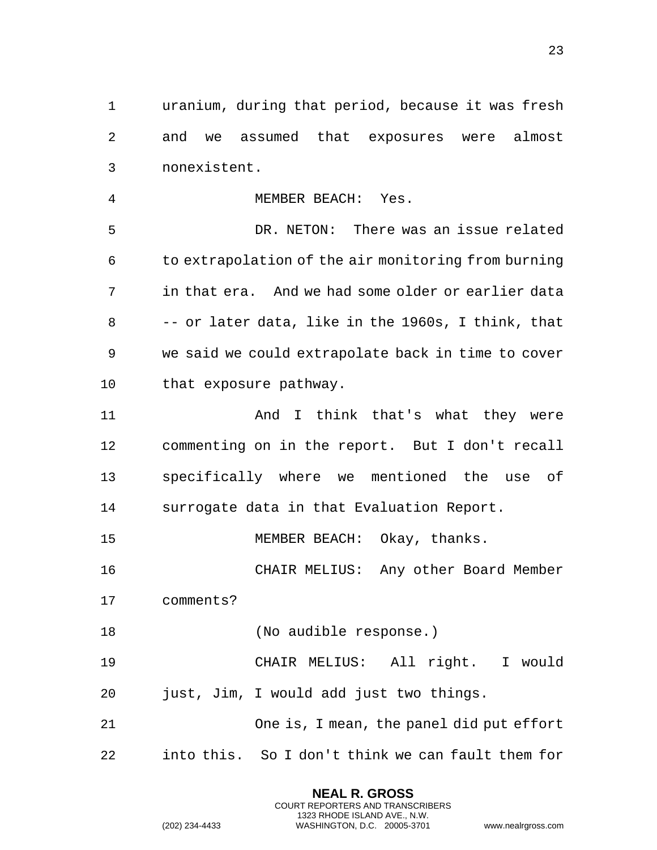uranium, during that period, because it was fresh and we assumed that exposures were almost nonexistent.

 MEMBER BEACH: Yes. DR. NETON: There was an issue related to extrapolation of the air monitoring from burning in that era. And we had some older or earlier data -- or later data, like in the 1960s, I think, that we said we could extrapolate back in time to cover that exposure pathway. And I think that's what they were commenting on in the report. But I don't recall specifically where we mentioned the use of surrogate data in that Evaluation Report. 15 MEMBER BEACH: Okay, thanks. CHAIR MELIUS: Any other Board Member comments? (No audible response.) CHAIR MELIUS: All right. I would just, Jim, I would add just two things. One is, I mean, the panel did put effort into this. So I don't think we can fault them for

> **NEAL R. GROSS** COURT REPORTERS AND TRANSCRIBERS 1323 RHODE ISLAND AVE., N.W.

(202) 234-4433 WASHINGTON, D.C. 20005-3701 www.nealrgross.com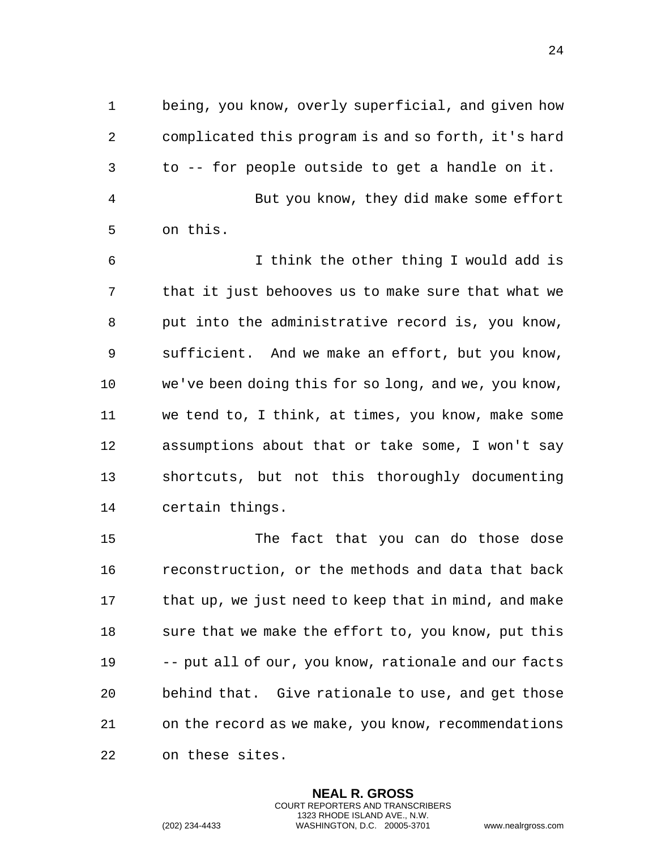being, you know, overly superficial, and given how complicated this program is and so forth, it's hard to -- for people outside to get a handle on it. But you know, they did make some effort on this.

 I think the other thing I would add is that it just behooves us to make sure that what we put into the administrative record is, you know, sufficient. And we make an effort, but you know, we've been doing this for so long, and we, you know, we tend to, I think, at times, you know, make some assumptions about that or take some, I won't say shortcuts, but not this thoroughly documenting certain things.

 The fact that you can do those dose reconstruction, or the methods and data that back that up, we just need to keep that in mind, and make sure that we make the effort to, you know, put this -- put all of our, you know, rationale and our facts behind that. Give rationale to use, and get those on the record as we make, you know, recommendations on these sites.

> **NEAL R. GROSS** COURT REPORTERS AND TRANSCRIBERS 1323 RHODE ISLAND AVE., N.W.

(202) 234-4433 WASHINGTON, D.C. 20005-3701 www.nealrgross.com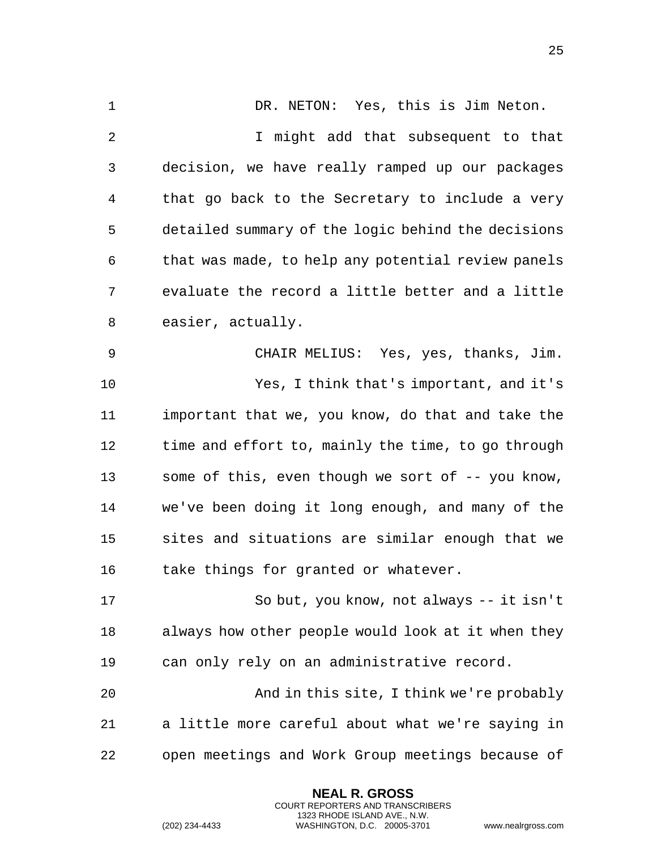1 DR. NETON: Yes, this is Jim Neton. I might add that subsequent to that decision, we have really ramped up our packages that go back to the Secretary to include a very detailed summary of the logic behind the decisions that was made, to help any potential review panels evaluate the record a little better and a little easier, actually. CHAIR MELIUS: Yes, yes, thanks, Jim. Yes, I think that's important, and it's important that we, you know, do that and take the time and effort to, mainly the time, to go through some of this, even though we sort of -- you know, we've been doing it long enough, and many of the sites and situations are similar enough that we take things for granted or whatever. So but, you know, not always -- it isn't always how other people would look at it when they can only rely on an administrative record. And in this site, I think we're probably a little more careful about what we're saying in open meetings and Work Group meetings because of

> **NEAL R. GROSS** COURT REPORTERS AND TRANSCRIBERS 1323 RHODE ISLAND AVE., N.W.

(202) 234-4433 WASHINGTON, D.C. 20005-3701 www.nealrgross.com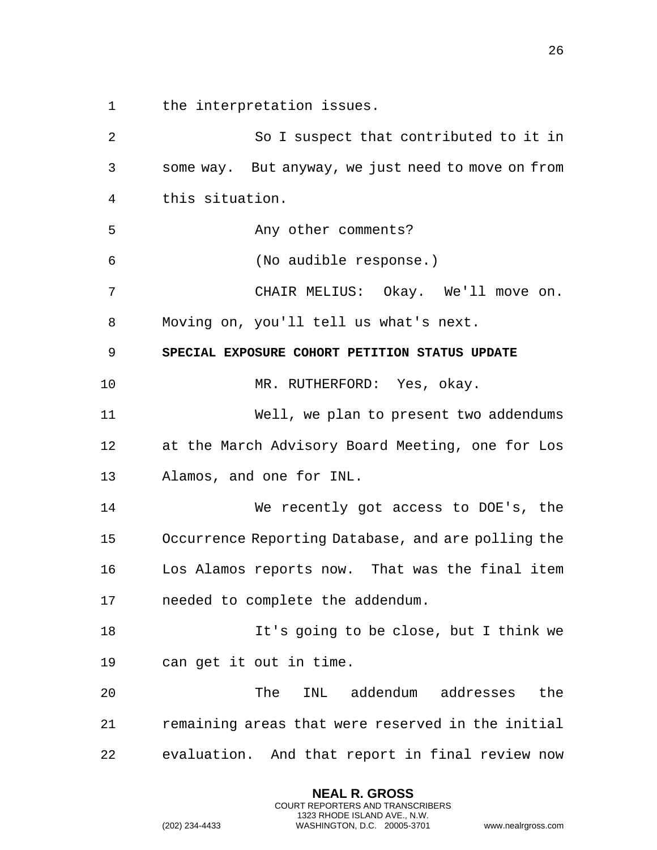the interpretation issues.

<span id="page-25-0"></span> So I suspect that contributed to it in some way. But anyway, we just need to move on from this situation. 5 Any other comments? (No audible response.) CHAIR MELIUS: Okay. We'll move on. Moving on, you'll tell us what's next. **SPECIAL EXPOSURE COHORT PETITION STATUS UPDATE** 10 MR. RUTHERFORD: Yes, okay. Well, we plan to present two addendums at the March Advisory Board Meeting, one for Los Alamos, and one for INL. We recently got access to DOE's, the Occurrence Reporting Database, and are polling the Los Alamos reports now. That was the final item needed to complete the addendum. It's going to be close, but I think we can get it out in time. The INL addendum addresses the remaining areas that were reserved in the initial evaluation. And that report in final review now

> **NEAL R. GROSS** COURT REPORTERS AND TRANSCRIBERS 1323 RHODE ISLAND AVE., N.W.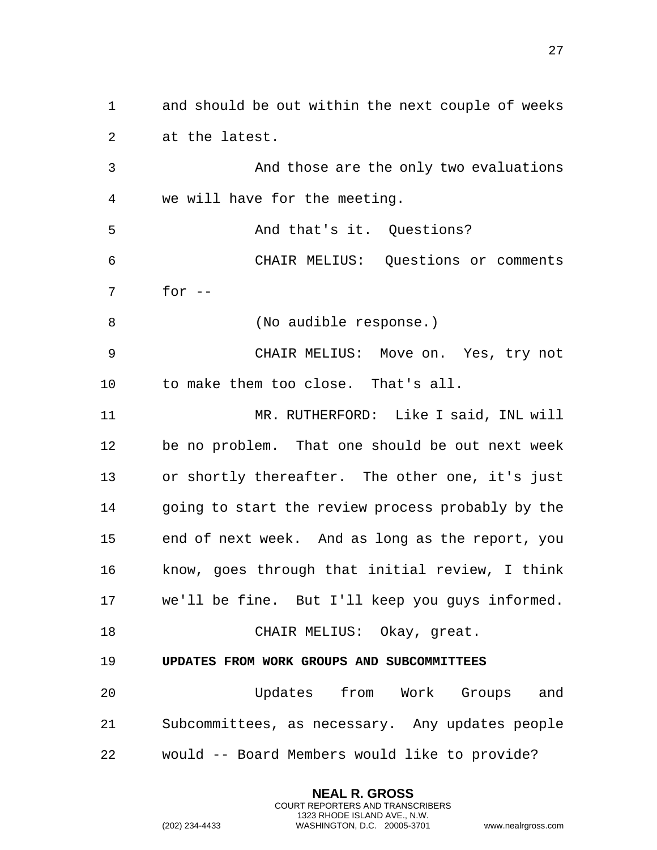and should be out within the next couple of weeks at the latest.

 And those are the only two evaluations we will have for the meeting.

 And that's it. Questions? CHAIR MELIUS: Questions or comments for --

8 (No audible response.)

 CHAIR MELIUS: Move on. Yes, try not to make them too close. That's all.

 MR. RUTHERFORD: Like I said, INL will be no problem. That one should be out next week or shortly thereafter. The other one, it's just going to start the review process probably by the end of next week. And as long as the report, you know, goes through that initial review, I think we'll be fine. But I'll keep you guys informed. CHAIR MELIUS: Okay, great.

<span id="page-26-0"></span>**UPDATES FROM WORK GROUPS AND SUBCOMMITTEES**

 Updates from Work Groups and Subcommittees, as necessary. Any updates people would -- Board Members would like to provide?

> **NEAL R. GROSS** COURT REPORTERS AND TRANSCRIBERS 1323 RHODE ISLAND AVE., N.W.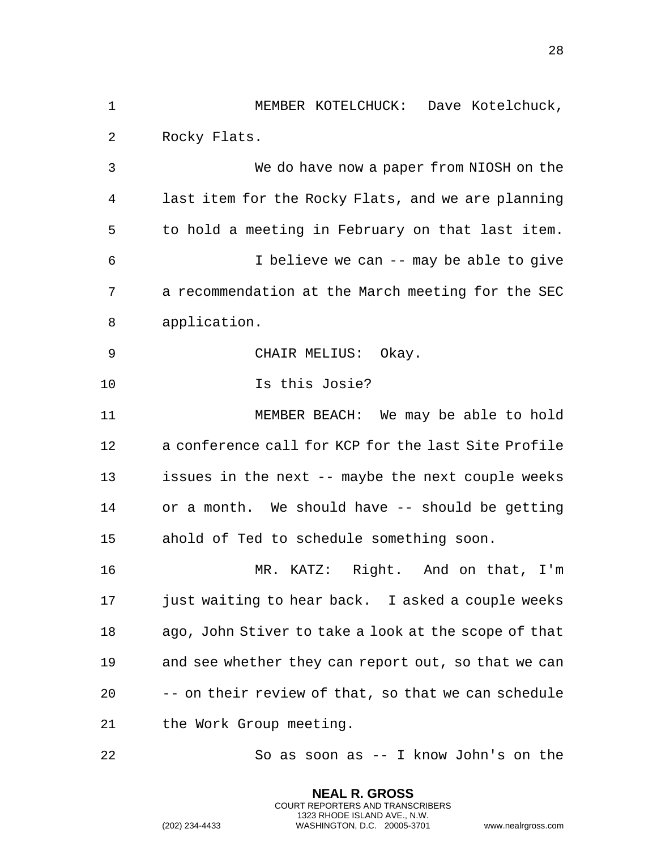1 MEMBER KOTELCHUCK: Dave Kotelchuck, 2 Rocky Flats. 3 We do have now a paper from NIOSH on the 4 last item for the Rocky Flats, and we are planning 5 to hold a meeting in February on that last item. 6 I believe we can -- may be able to give 7 a recommendation at the March meeting for the SEC 8 application. 9 CHAIR MELIUS: Okay. 10 Is this Josie? 11 MEMBER BEACH: We may be able to hold 12 a conference call for KCP for the last Site Profile 13 issues in the next -- maybe the next couple weeks 14 or a month. We should have -- should be getting 15 ahold of Ted to schedule something soon. 16 MR. KATZ: Right. And on that, I'm 17 just waiting to hear back. I asked a couple weeks 18 ago, John Stiver to take a look at the scope of that 19 and see whether they can report out, so that we can 20 -- on their review of that, so that we can schedule 21 the Work Group meeting. 22 So as soon as -- I know John's on the

> **NEAL R. GROSS** COURT REPORTERS AND TRANSCRIBERS 1323 RHODE ISLAND AVE., N.W.

(202) 234-4433 WASHINGTON, D.C. 20005-3701 www.nealrgross.com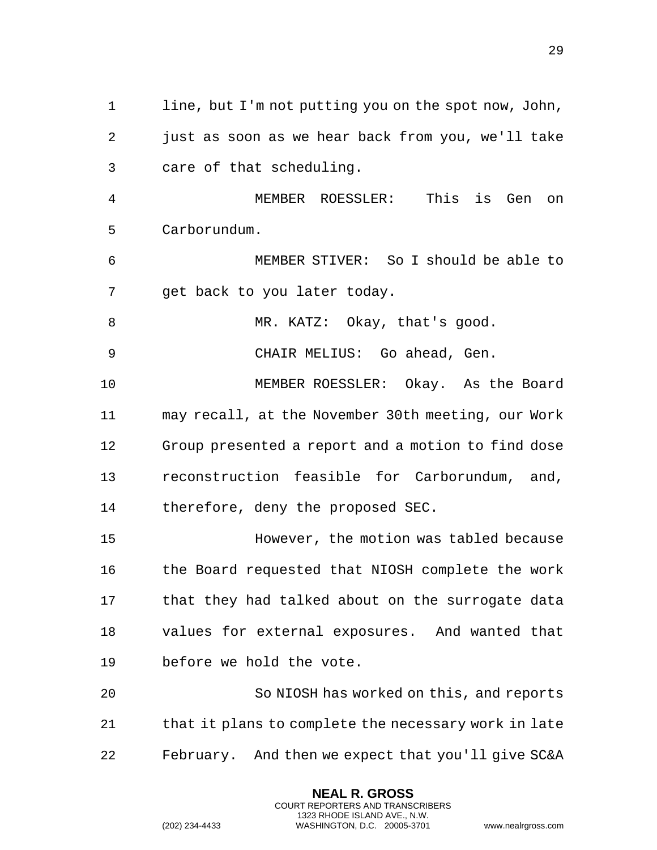line, but I'm not putting you on the spot now, John, just as soon as we hear back from you, we'll take care of that scheduling. MEMBER ROESSLER: This is Gen on Carborundum. MEMBER STIVER: So I should be able to get back to you later today. 8 MR. KATZ: Okay, that's good. CHAIR MELIUS: Go ahead, Gen. MEMBER ROESSLER: Okay. As the Board may recall, at the November 30th meeting, our Work Group presented a report and a motion to find dose reconstruction feasible for Carborundum, and, therefore, deny the proposed SEC. However, the motion was tabled because the Board requested that NIOSH complete the work that they had talked about on the surrogate data values for external exposures. And wanted that before we hold the vote. So NIOSH has worked on this, and reports

February. And then we expect that you'll give SC&A

21 that it plans to complete the necessary work in late

**NEAL R. GROSS** COURT REPORTERS AND TRANSCRIBERS 1323 RHODE ISLAND AVE., N.W.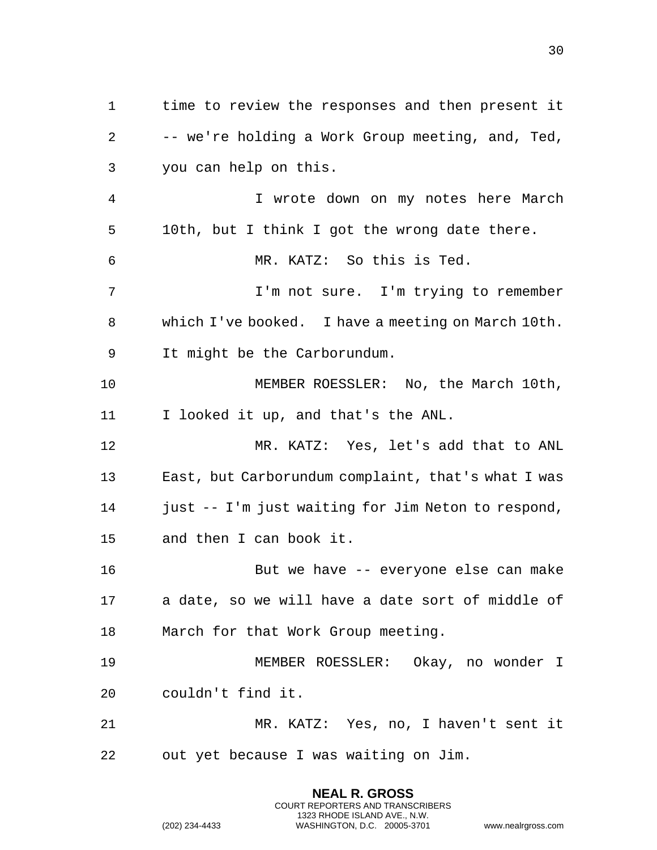time to review the responses and then present it -- we're holding a Work Group meeting, and, Ted, you can help on this. I wrote down on my notes here March 10th, but I think I got the wrong date there. MR. KATZ: So this is Ted. I'm not sure. I'm trying to remember which I've booked. I have a meeting on March 10th. It might be the Carborundum. MEMBER ROESSLER: No, the March 10th, I looked it up, and that's the ANL. MR. KATZ: Yes, let's add that to ANL East, but Carborundum complaint, that's what I was 14 just -- I'm just waiting for Jim Neton to respond, and then I can book it. But we have -- everyone else can make a date, so we will have a date sort of middle of March for that Work Group meeting. MEMBER ROESSLER: Okay, no wonder I couldn't find it. MR. KATZ: Yes, no, I haven't sent it out yet because I was waiting on Jim.

> **NEAL R. GROSS** COURT REPORTERS AND TRANSCRIBERS 1323 RHODE ISLAND AVE., N.W.

(202) 234-4433 WASHINGTON, D.C. 20005-3701 www.nealrgross.com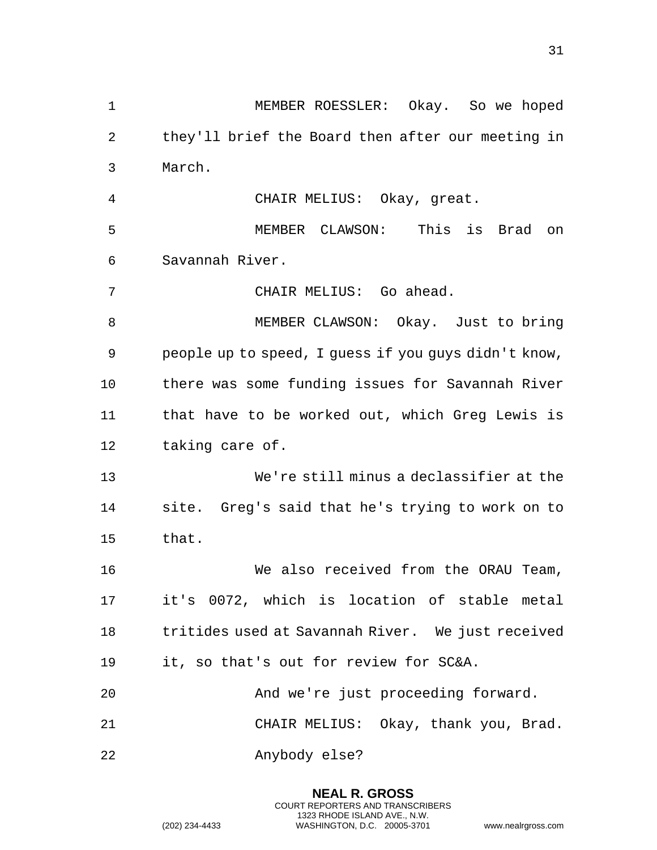MEMBER ROESSLER: Okay. So we hoped they'll brief the Board then after our meeting in March. CHAIR MELIUS: Okay, great. MEMBER CLAWSON: This is Brad on Savannah River. CHAIR MELIUS: Go ahead. MEMBER CLAWSON: Okay. Just to bring people up to speed, I guess if you guys didn't know, there was some funding issues for Savannah River that have to be worked out, which Greg Lewis is taking care of. We're still minus a declassifier at the site. Greg's said that he's trying to work on to that. We also received from the ORAU Team, it's 0072, which is location of stable metal tritides used at Savannah River. We just received it, so that's out for review for SC&A. And we're just proceeding forward. CHAIR MELIUS: Okay, thank you, Brad. Anybody else?

> **NEAL R. GROSS** COURT REPORTERS AND TRANSCRIBERS 1323 RHODE ISLAND AVE., N.W.

(202) 234-4433 WASHINGTON, D.C. 20005-3701 www.nealrgross.com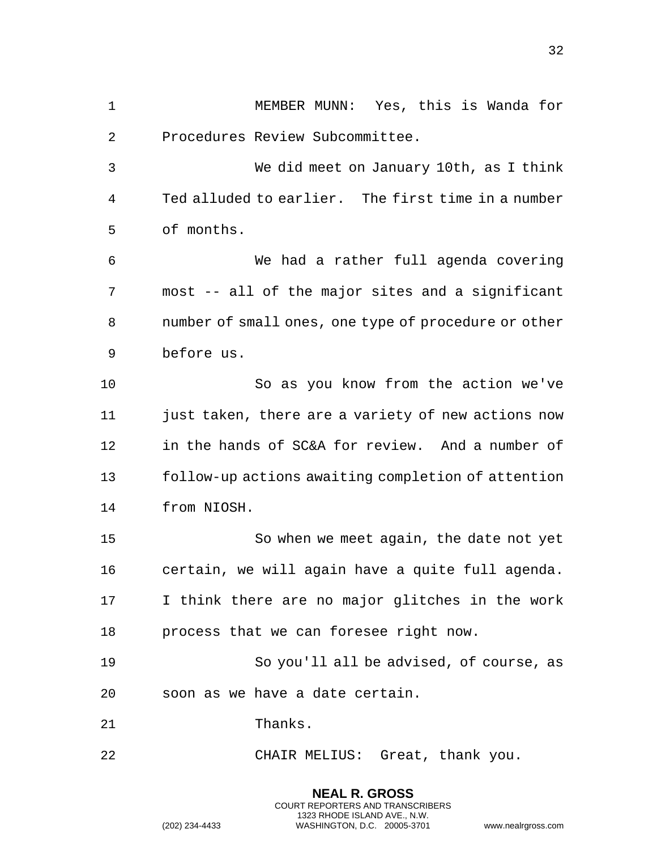MEMBER MUNN: Yes, this is Wanda for Procedures Review Subcommittee.

 We did meet on January 10th, as I think Ted alluded to earlier. The first time in a number of months.

 We had a rather full agenda covering most -- all of the major sites and a significant number of small ones, one type of procedure or other before us.

 So as you know from the action we've 11 just taken, there are a variety of new actions now in the hands of SC&A for review. And a number of follow-up actions awaiting completion of attention from NIOSH.

 So when we meet again, the date not yet certain, we will again have a quite full agenda. I think there are no major glitches in the work process that we can foresee right now.

 So you'll all be advised, of course, as soon as we have a date certain.

> **NEAL R. GROSS** COURT REPORTERS AND TRANSCRIBERS 1323 RHODE ISLAND AVE., N.W.

21 Thanks.

CHAIR MELIUS: Great, thank you.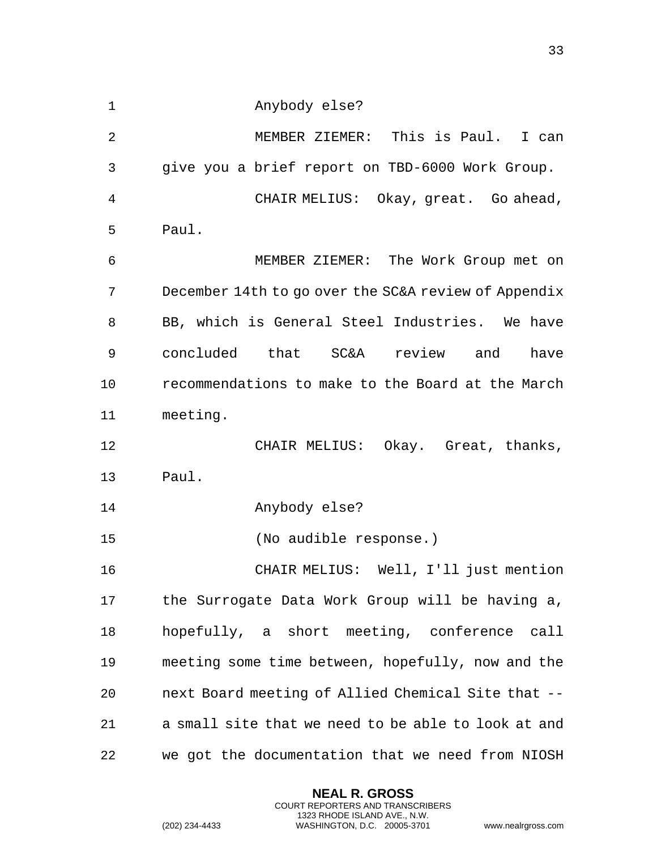Anybody else?

 MEMBER ZIEMER: This is Paul. I can give you a brief report on TBD-6000 Work Group. CHAIR MELIUS: Okay, great. Go ahead, Paul. MEMBER ZIEMER: The Work Group met on December 14th to go over the SC&A review of Appendix

 BB, which is General Steel Industries. We have concluded that SC&A review and have recommendations to make to the Board at the March meeting.

 CHAIR MELIUS: Okay. Great, thanks, Paul.

Anybody else?

(No audible response.)

 CHAIR MELIUS: Well, I'll just mention the Surrogate Data Work Group will be having a, hopefully, a short meeting, conference call meeting some time between, hopefully, now and the next Board meeting of Allied Chemical Site that -- a small site that we need to be able to look at and we got the documentation that we need from NIOSH

> **NEAL R. GROSS** COURT REPORTERS AND TRANSCRIBERS 1323 RHODE ISLAND AVE., N.W.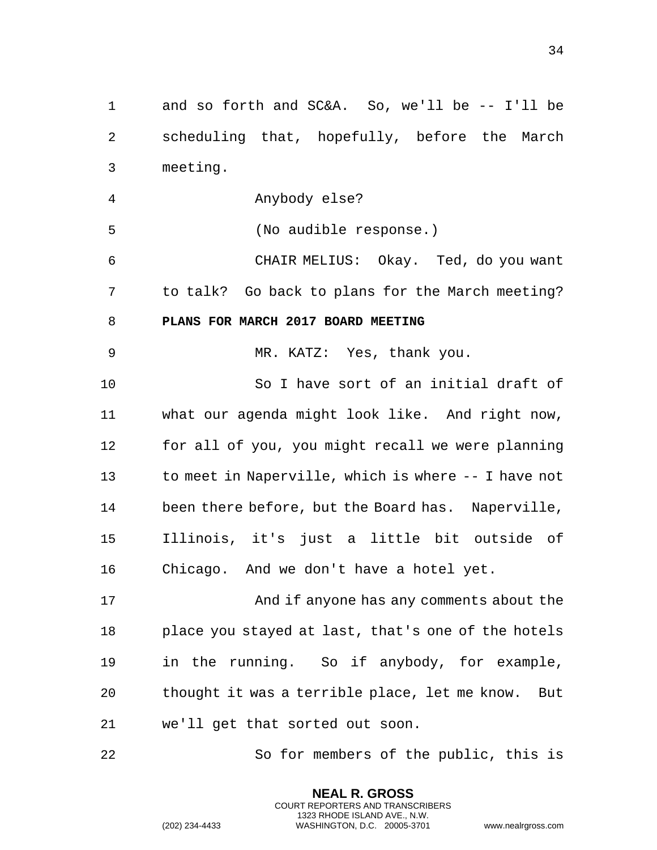<span id="page-33-0"></span> and so forth and SC&A. So, we'll be -- I'll be scheduling that, hopefully, before the March meeting. Anybody else? (No audible response.) CHAIR MELIUS: Okay. Ted, do you want to talk? Go back to plans for the March meeting? **PLANS FOR MARCH 2017 BOARD MEETING** MR. KATZ: Yes, thank you. So I have sort of an initial draft of what our agenda might look like. And right now, for all of you, you might recall we were planning to meet in Naperville, which is where -- I have not been there before, but the Board has. Naperville, Illinois, it's just a little bit outside of Chicago. And we don't have a hotel yet. And if anyone has any comments about the place you stayed at last, that's one of the hotels in the running. So if anybody, for example, thought it was a terrible place, let me know. But we'll get that sorted out soon.

So for members of the public, this is

**NEAL R. GROSS** COURT REPORTERS AND TRANSCRIBERS 1323 RHODE ISLAND AVE., N.W.

(202) 234-4433 WASHINGTON, D.C. 20005-3701 www.nealrgross.com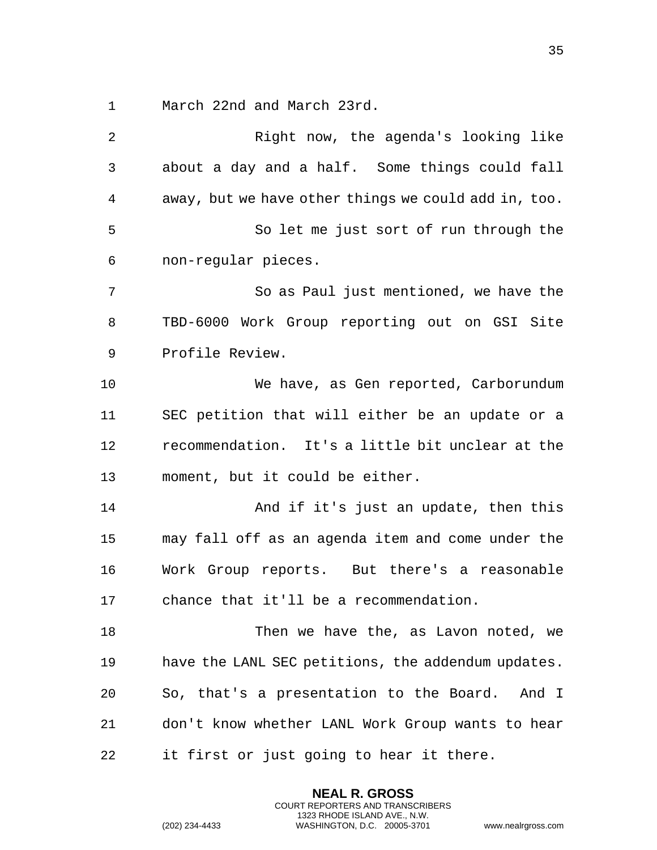March 22nd and March 23rd.

 Right now, the agenda's looking like about a day and a half. Some things could fall away, but we have other things we could add in, too. So let me just sort of run through the non-regular pieces. So as Paul just mentioned, we have the TBD-6000 Work Group reporting out on GSI Site Profile Review. We have, as Gen reported, Carborundum SEC petition that will either be an update or a recommendation. It's a little bit unclear at the moment, but it could be either. 14 And if it's just an update, then this may fall off as an agenda item and come under the Work Group reports. But there's a reasonable chance that it'll be a recommendation. Then we have the, as Lavon noted, we have the LANL SEC petitions, the addendum updates. So, that's a presentation to the Board. And I don't know whether LANL Work Group wants to hear it first or just going to hear it there.

> **NEAL R. GROSS** COURT REPORTERS AND TRANSCRIBERS 1323 RHODE ISLAND AVE., N.W.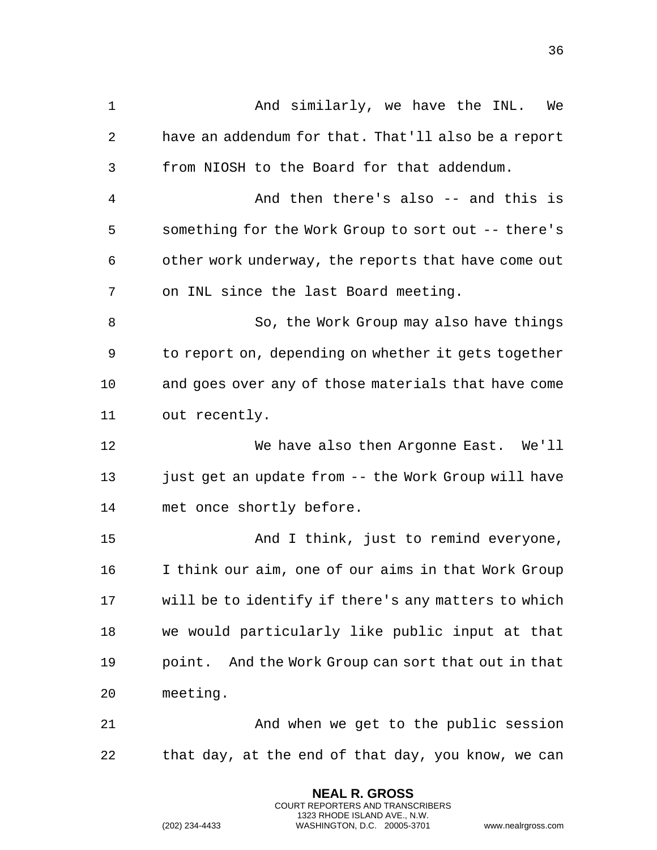1 And similarly, we have the INL. We have an addendum for that. That'll also be a report from NIOSH to the Board for that addendum. And then there's also -- and this is something for the Work Group to sort out -- there's other work underway, the reports that have come out on INL since the last Board meeting. So, the Work Group may also have things to report on, depending on whether it gets together and goes over any of those materials that have come out recently. We have also then Argonne East. We'll just get an update from -- the Work Group will have met once shortly before. And I think, just to remind everyone, I think our aim, one of our aims in that Work Group will be to identify if there's any matters to which we would particularly like public input at that point. And the Work Group can sort that out in that meeting. And when we get to the public session that day, at the end of that day, you know, we can

> **NEAL R. GROSS** COURT REPORTERS AND TRANSCRIBERS 1323 RHODE ISLAND AVE., N.W.

(202) 234-4433 WASHINGTON, D.C. 20005-3701 www.nealrgross.com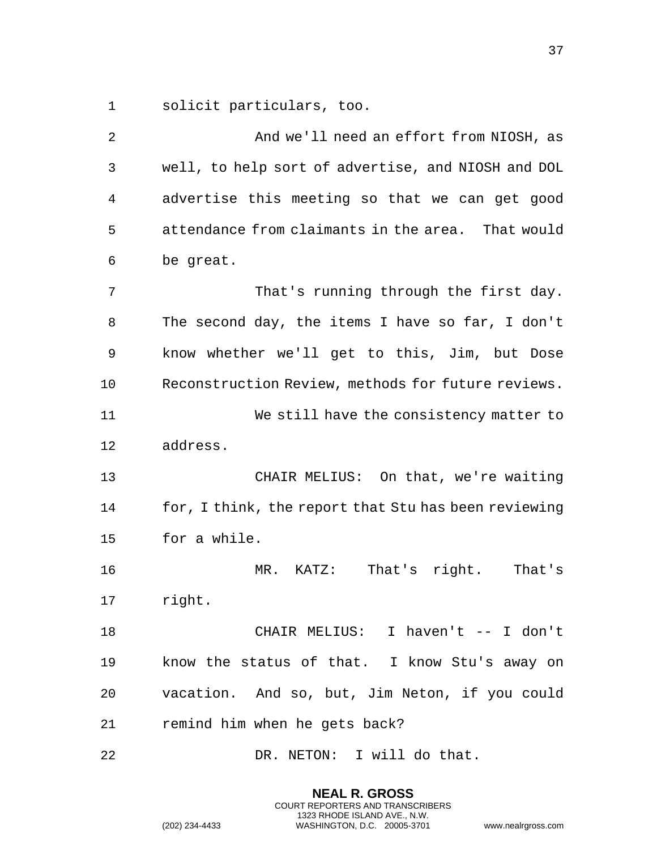solicit particulars, too.

 And we'll need an effort from NIOSH, as well, to help sort of advertise, and NIOSH and DOL advertise this meeting so that we can get good attendance from claimants in the area. That would be great. 7 That's running through the first day. The second day, the items I have so far, I don't know whether we'll get to this, Jim, but Dose Reconstruction Review, methods for future reviews. We still have the consistency matter to address. CHAIR MELIUS: On that, we're waiting for, I think, the report that Stu has been reviewing for a while. MR. KATZ: That's right. That's right. CHAIR MELIUS: I haven't -- I don't know the status of that. I know Stu's away on vacation. And so, but, Jim Neton, if you could remind him when he gets back?

22 DR. NETON: I will do that.

**NEAL R. GROSS** COURT REPORTERS AND TRANSCRIBERS 1323 RHODE ISLAND AVE., N.W.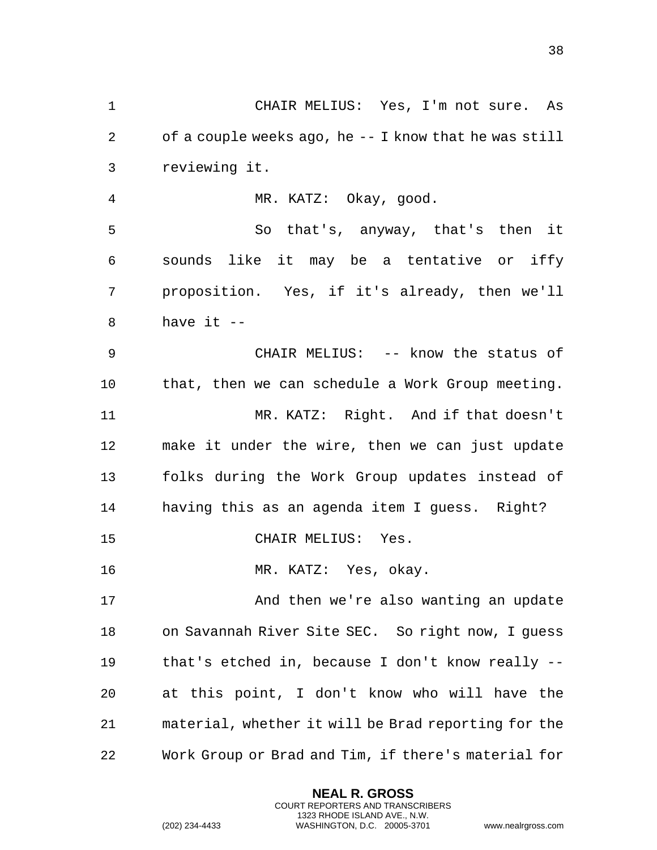CHAIR MELIUS: Yes, I'm not sure. As of a couple weeks ago, he -- I know that he was still reviewing it. MR. KATZ: Okay, good. So that's, anyway, that's then it sounds like it may be a tentative or iffy proposition. Yes, if it's already, then we'll have it -- CHAIR MELIUS: -- know the status of that, then we can schedule a Work Group meeting. MR. KATZ: Right. And if that doesn't make it under the wire, then we can just update folks during the Work Group updates instead of

having this as an agenda item I guess. Right?

CHAIR MELIUS: Yes.

MR. KATZ: Yes, okay.

17 And then we're also wanting an update on Savannah River Site SEC. So right now, I guess that's etched in, because I don't know really -- at this point, I don't know who will have the material, whether it will be Brad reporting for the Work Group or Brad and Tim, if there's material for

> **NEAL R. GROSS** COURT REPORTERS AND TRANSCRIBERS 1323 RHODE ISLAND AVE., N.W.

```
(202) 234-4433 WASHINGTON, D.C. 20005-3701 www.nealrgross.com
```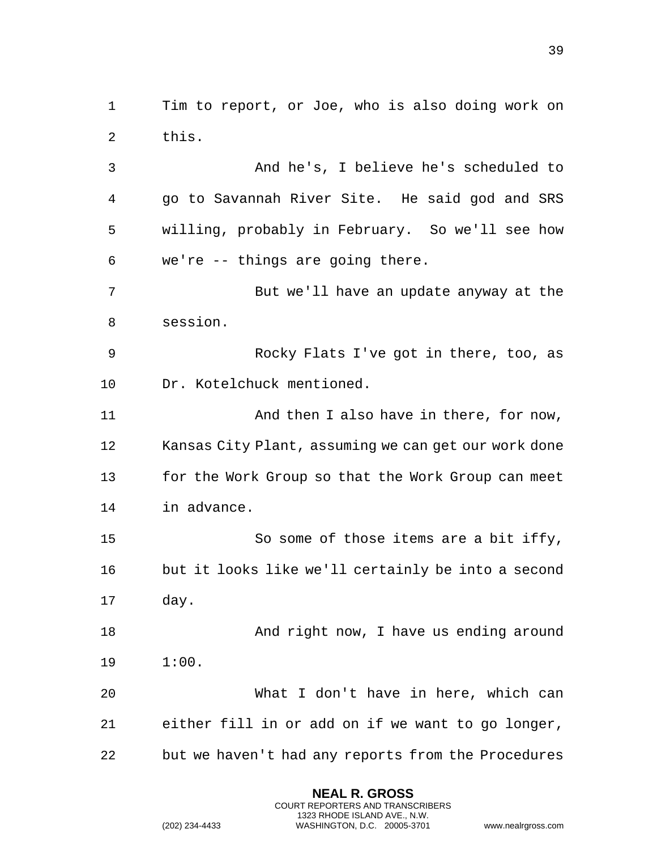Tim to report, or Joe, who is also doing work on this.

 And he's, I believe he's scheduled to go to Savannah River Site. He said god and SRS willing, probably in February. So we'll see how we're -- things are going there.

 But we'll have an update anyway at the session.

 Rocky Flats I've got in there, too, as Dr. Kotelchuck mentioned.

**And then I also have in there, for now,**  Kansas City Plant, assuming we can get our work done for the Work Group so that the Work Group can meet in advance.

 So some of those items are a bit iffy, but it looks like we'll certainly be into a second day.

18 And right now, I have us ending around 1:00.

 What I don't have in here, which can either fill in or add on if we want to go longer, but we haven't had any reports from the Procedures

> **NEAL R. GROSS** COURT REPORTERS AND TRANSCRIBERS 1323 RHODE ISLAND AVE., N.W.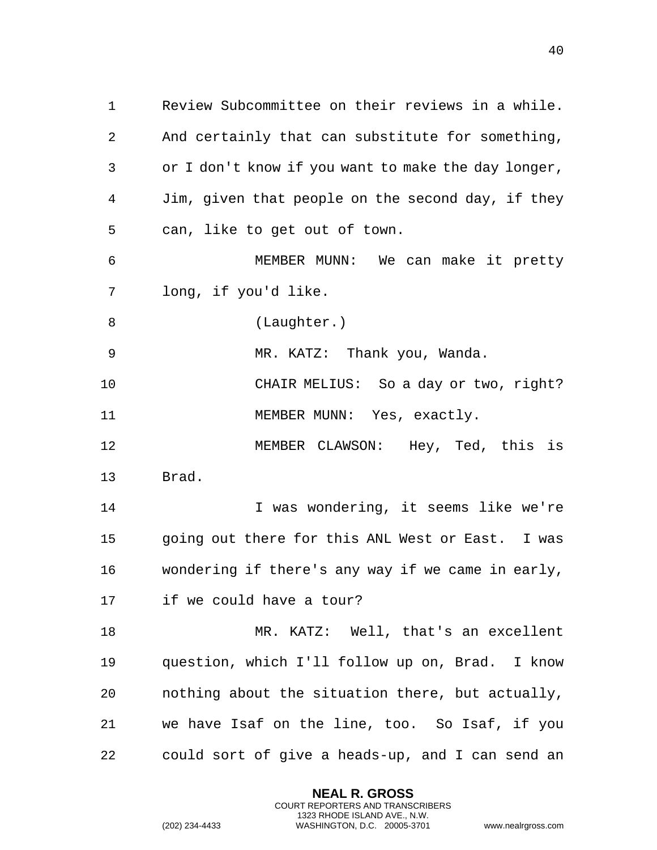Review Subcommittee on their reviews in a while. And certainly that can substitute for something, or I don't know if you want to make the day longer, Jim, given that people on the second day, if they can, like to get out of town.

 MEMBER MUNN: We can make it pretty long, if you'd like.

8 (Laughter.)

MR. KATZ: Thank you, Wanda.

 CHAIR MELIUS: So a day or two, right? 11 MEMBER MUNN: Yes, exactly.

 MEMBER CLAWSON: Hey, Ted, this is Brad.

14 I was wondering, it seems like we're going out there for this ANL West or East. I was wondering if there's any way if we came in early, if we could have a tour?

 MR. KATZ: Well, that's an excellent question, which I'll follow up on, Brad. I know nothing about the situation there, but actually, we have Isaf on the line, too. So Isaf, if you could sort of give a heads-up, and I can send an

> **NEAL R. GROSS** COURT REPORTERS AND TRANSCRIBERS 1323 RHODE ISLAND AVE., N.W.

```
(202) 234-4433 WASHINGTON, D.C. 20005-3701 www.nealrgross.com
```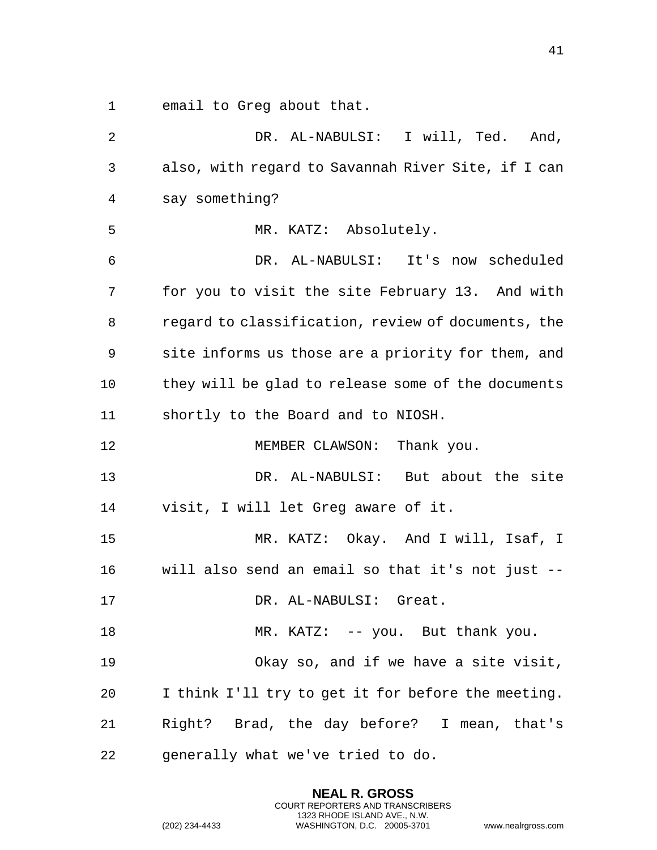1 email to Greg about that.

2 DR. AL-NABULSI: I will, Ted. And, 3 also, with regard to Savannah River Site, if I can 4 say something? 5 MR. KATZ: Absolutely. 6 DR. AL-NABULSI: It's now scheduled 7 for you to visit the site February 13. And with 8 regard to classification, review of documents, the 9 site informs us those are a priority for them, and 10 they will be glad to release some of the documents 11 shortly to the Board and to NIOSH. 12 MEMBER CLAWSON: Thank you. 13 DR. AL-NABULSI: But about the site 14 visit, I will let Greg aware of it. 15 MR. KATZ: Okay. And I will, Isaf, I 16 will also send an email so that it's not just -- 17 DR. AL-NABULSI: Great. 18 MR. KATZ: -- you. But thank you. 19 Okay so, and if we have a site visit, 20 I think I'll try to get it for before the meeting. 21 Right? Brad, the day before? I mean, that's 22 generally what we've tried to do.

> **NEAL R. GROSS** COURT REPORTERS AND TRANSCRIBERS 1323 RHODE ISLAND AVE., N.W.

(202) 234-4433 WASHINGTON, D.C. 20005-3701 www.nealrgross.com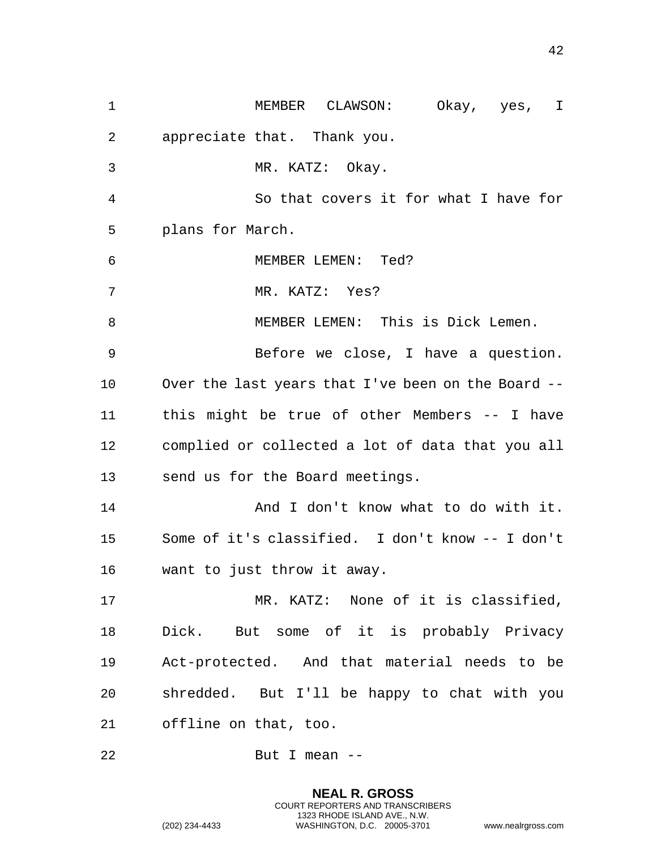MEMBER CLAWSON: Okay, yes, I appreciate that. Thank you. MR. KATZ: Okay. So that covers it for what I have for plans for March. MEMBER LEMEN: Ted? MR. KATZ: Yes? MEMBER LEMEN: This is Dick Lemen. Before we close, I have a question. Over the last years that I've been on the Board -- this might be true of other Members -- I have complied or collected a lot of data that you all send us for the Board meetings. 14 And I don't know what to do with it. Some of it's classified. I don't know -- I don't want to just throw it away. MR. KATZ: None of it is classified, Dick. But some of it is probably Privacy Act-protected. And that material needs to be shredded. But I'll be happy to chat with you offline on that, too. But I mean --

> **NEAL R. GROSS** COURT REPORTERS AND TRANSCRIBERS 1323 RHODE ISLAND AVE., N.W.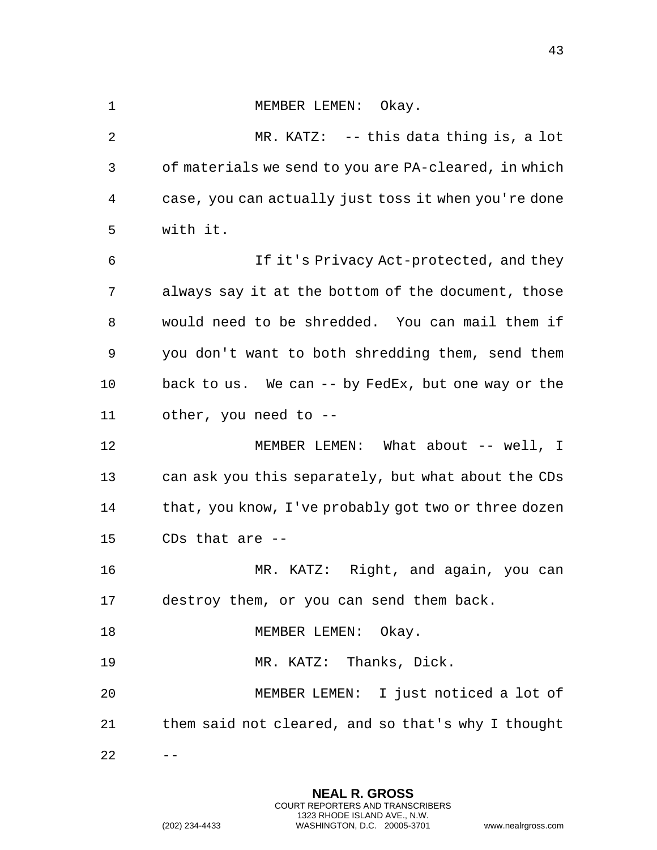## 1 MEMBER LEMEN: Okay.

2 MR. KATZ: -- this data thing is, a lot 3 of materials we send to you are PA-cleared, in which 4 case, you can actually just toss it when you're done 5 with it. 6 If it's Privacy Act-protected, and they 7 always say it at the bottom of the document, those 8 would need to be shredded. You can mail them if 9 you don't want to both shredding them, send them 10 back to us. We can -- by FedEx, but one way or the 11 other, you need to -- 12 MEMBER LEMEN: What about -- well, I 13 can ask you this separately, but what about the CDs 14 that, you know, I've probably got two or three dozen 15 CDs that are -- 16 MR. KATZ: Right, and again, you can 17 destroy them, or you can send them back. 18 MEMBER LEMEN: Okay. 19 MR. KATZ: Thanks, Dick. 20 MEMBER LEMEN: I just noticed a lot of 21 them said not cleared, and so that's why I thought

 $22 - - -$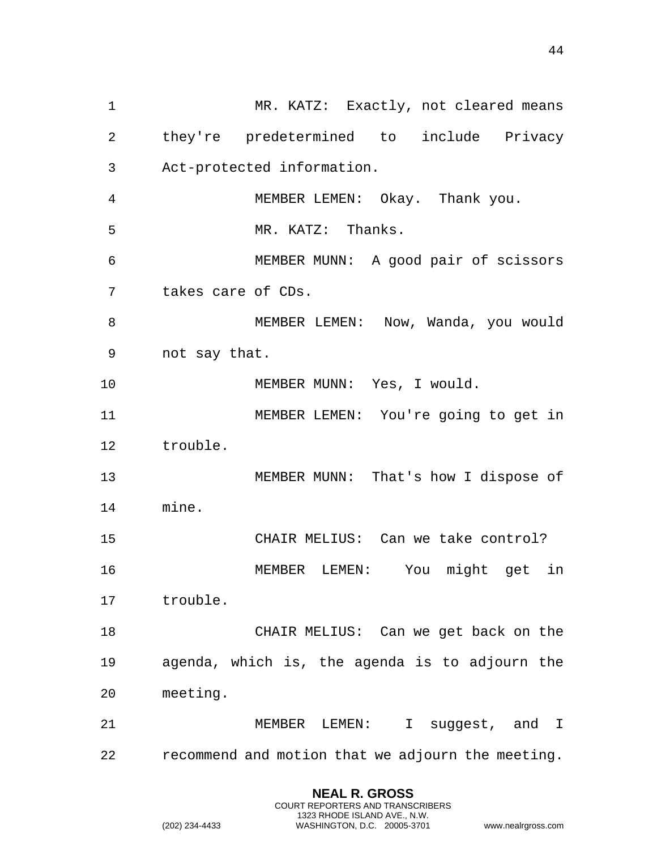1 MR. KATZ: Exactly, not cleared means 2 they're predetermined to include Privacy 3 Act-protected information. 4 MEMBER LEMEN: Okay. Thank you. 5 MR. KATZ: Thanks. 6 MEMBER MUNN: A good pair of scissors 7 takes care of CDs. 8 MEMBER LEMEN: Now, Wanda, you would 9 not say that. 10 MEMBER MUNN: Yes, I would. 11 MEMBER LEMEN: You're going to get in 12 trouble. 13 MEMBER MUNN: That's how I dispose of 14 mine. 15 CHAIR MELIUS: Can we take control? 16 MEMBER LEMEN: You might get in 17 trouble. 18 CHAIR MELIUS: Can we get back on the 19 agenda, which is, the agenda is to adjourn the 20 meeting. 21 MEMBER LEMEN: I suggest, and I 22 recommend and motion that we adjourn the meeting.

> **NEAL R. GROSS** COURT REPORTERS AND TRANSCRIBERS 1323 RHODE ISLAND AVE., N.W.

(202) 234-4433 WASHINGTON, D.C. 20005-3701 www.nealrgross.com